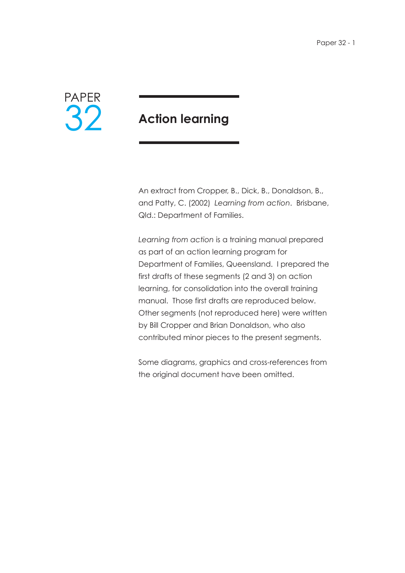

# **Action learning**

An extract from Cropper, B., Dick, B., Donaldson, B., and Patty, C. (2002) *Learning from action*. Brisbane, Qld.: Department of Families.

*Learning from action* is a training manual prepared as part of an action learning program for Department of Families, Queensland. I prepared the first drafts of these segments (2 and 3) on action learning, for consolidation into the overall training manual. Those first drafts are reproduced below. Other segments (not reproduced here) were written by Bill Cropper and Brian Donaldson, who also contributed minor pieces to the present segments.

Some diagrams, graphics and cross-references from the original document have been omitted.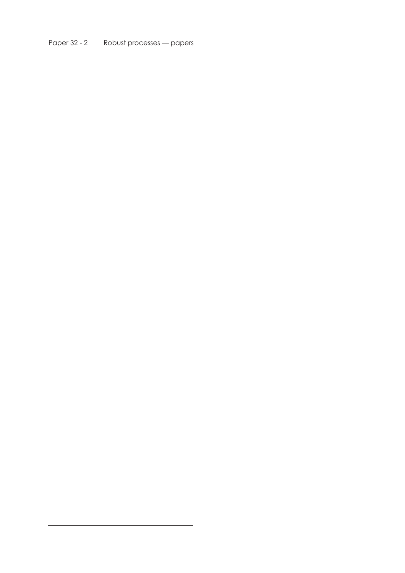Paper 32 - 2 Robust processes — papers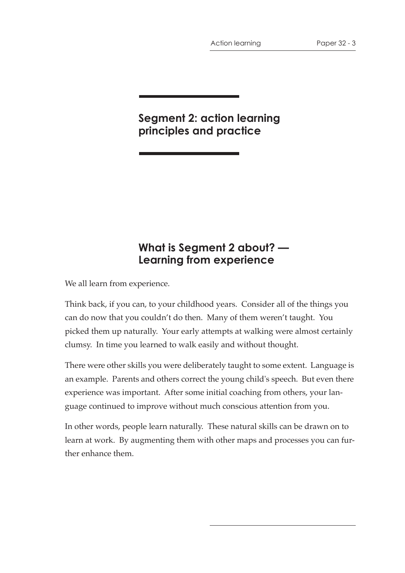# **Segment 2: action learning principles and practice**

# **What is Segment 2 about? — Learning from experience**

We all learn from experience.

Think back, if you can, to your childhood years. Consider all of the things you can do now that you couldn't do then. Many of them weren't taught. You picked them up naturally. Your early attempts at walking were almost certainly clumsy. In time you learned to walk easily and without thought.

There were other skills you were deliberately taught to some extent. Language is an example. Parents and others correct the young child's speech. But even there experience was important. After some initial coaching from others, your language continued to improve without much conscious attention from you.

In other words, people learn naturally. These natural skills can be drawn on to learn at work. By augmenting them with other maps and processes you can further enhance them.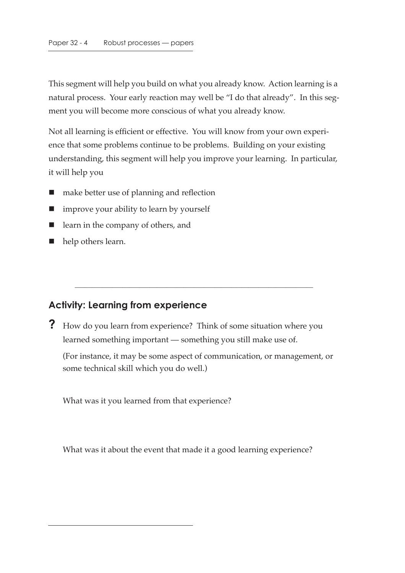This segment will help you build on what you already know. Action learning is a natural process. Your early reaction may well be "I do that already". In this segment you will become more conscious of what you already know.

Not all learning is efficient or effective. You will know from your own experience that some problems continue to be problems. Building on your existing understanding, this segment will help you improve your learning. In particular, it will help you

- make better use of planning and reflection
- improve your ability to learn by yourself
- learn in the company of others, and
- **help others learn.**

## **Activity: Learning from experience**

**?** How do you learn from experience? Think of some situation where you learned something important — something you still make use of.

\_\_\_\_\_\_\_\_\_\_\_\_\_\_\_\_\_\_\_\_\_\_\_\_\_\_\_\_\_\_\_\_\_\_\_\_\_\_\_\_\_\_\_\_\_\_\_\_\_\_\_\_\_\_\_\_\_\_\_\_\_\_\_\_\_\_\_\_\_\_

(For instance, it may be some aspect of communication, or management, or some technical skill which you do well.)

What was it you learned from that experience?

What was it about the event that made it a good learning experience?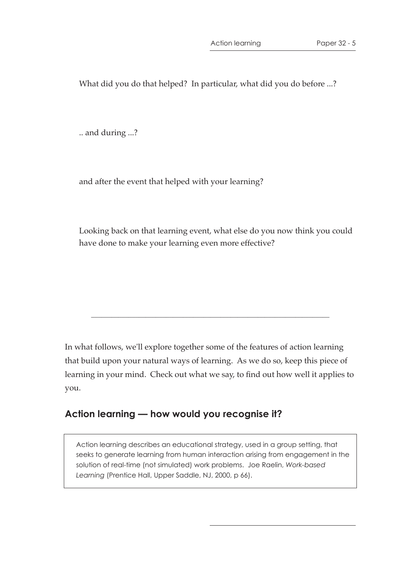What did you do that helped? In particular, what did you do before ...?

.. and during ...?

and after the event that helped with your learning?

Looking back on that learning event, what else do you now think you could have done to make your learning even more effective?

In what follows, we'll explore together some of the features of action learning that build upon your natural ways of learning. As we do so, keep this piece of learning in your mind. Check out what we say, to find out how well it applies to you.

\_\_\_\_\_\_\_\_\_\_\_\_\_\_\_\_\_\_\_\_\_\_\_\_\_\_\_\_\_\_\_\_\_\_\_\_\_\_\_\_\_\_\_\_\_\_\_\_\_\_\_\_\_\_\_\_\_\_\_\_\_\_\_\_\_\_\_\_\_\_

## **Action learning — how would you recognise it?**

Action learning describes an educational strategy, used in a group setting, that seeks to generate learning from human interaction arising from engagement in the solution of real-time (not simulated) work problems.Joe Raelin, *Work-based Learning* (Prentice Hall, Upper Saddle, NJ, 2000, p 66).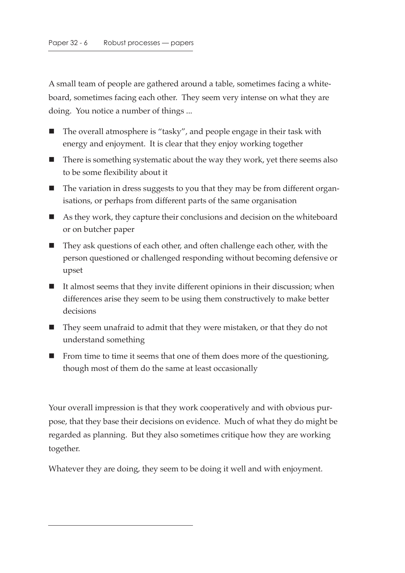A small team of people are gathered around a table, sometimes facing a whiteboard, sometimes facing each other. They seem very intense on what they are doing. You notice a number of things ...

- The overall atmosphere is "tasky", and people engage in their task with energy and enjoyment. It is clear that they enjoy working together
- $\blacksquare$  There is something systematic about the way they work, yet there seems also to be some flexibility about it
- The variation in dress suggests to you that they may be from different organisations, or perhaps from different parts of the same organisation
- As they work, they capture their conclusions and decision on the whiteboard or on butcher paper
- They ask questions of each other, and often challenge each other, with the person questioned or challenged responding without becoming defensive or upset
- $\blacksquare$  It almost seems that they invite different opinions in their discussion; when differences arise they seem to be using them constructively to make better decisions
- They seem unafraid to admit that they were mistaken, or that they do not understand something
- $\blacksquare$  From time to time it seems that one of them does more of the questioning, though most of them do the same at least occasionally

Your overall impression is that they work cooperatively and with obvious purpose, that they base their decisions on evidence. Much of what they do might be regarded as planning. But they also sometimes critique how they are working together.

Whatever they are doing, they seem to be doing it well and with enjoyment.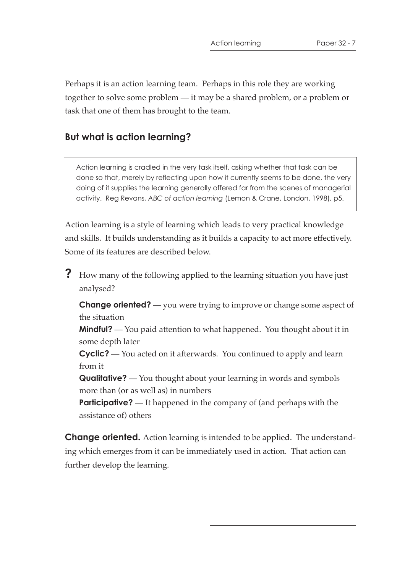Perhaps it is an action learning team. Perhaps in this role they are working together to solve some problem — it may be a shared problem, or a problem or task that one of them has brought to the team.

## **But what is action learning?**

Action learning is cradled in the very task itself, asking whether that task can be done so that, merely by reflecting upon how it currently seems to be done, the very doing of it supplies the learning generally offered far from the scenes of managerial activity. Reg Revans, *ABC of action learning* (Lemon & Crane, London, 1998), p5.

Action learning is a style of learning which leads to very practical knowledge and skills. It builds understanding as it builds a capacity to act more effectively. Some of its features are described below.

**?** How many of the following applied to the learning situation you have just analysed?

**Change oriented?** — you were trying to improve or change some aspect of the situation

**Mindful?** — You paid attention to what happened. You thought about it in some depth later

**Cyclic?** — You acted on it afterwards. You continued to apply and learn from it

**Qualitative?** — You thought about your learning in words and symbols more than (or as well as) in numbers

**Participative?** — It happened in the company of (and perhaps with the assistance of) others

**Change oriented.** Action learning is intended to be applied. The understanding which emerges from it can be immediately used in action. That action can further develop the learning.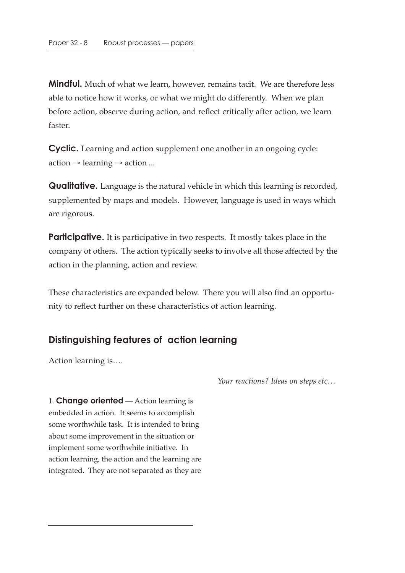**Mindful.** Much of what we learn, however, remains tacit. We are therefore less able to notice how it works, or what we might do differently. When we plan before action, observe during action, and reflect critically after action, we learn faster.

**Cyclic.** Learning and action supplement one another in an ongoing cycle:  $\text{action} \rightarrow \text{learning} \rightarrow \text{action} \dots$ 

**Qualitative.** Language is the natural vehicle in which this learning is recorded, supplemented by maps and models. However, language is used in ways which are rigorous.

**Participative.** It is participative in two respects. It mostly takes place in the company of others. The action typically seeks to involve all those affected by the action in the planning, action and review.

These characteristics are expanded below. There you will also find an opportunity to reflect further on these characteristics of action learning.

#### **Distinguishing features of action learning**

Action learning is….

*Your reactions? Ideas on steps etc…*

1. **Change oriented** — Action learning is embedded in action. It seems to accomplish some worthwhile task. It is intended to bring about some improvement in the situation or implement some worthwhile initiative. In action learning, the action and the learning are integrated. They are not separated as they are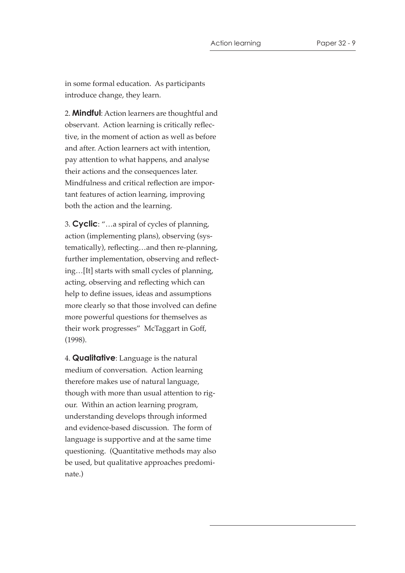in some formal education. As participants introduce change, they learn.

2. **Mindful**: Action learners are thoughtful and observant. Action learning is critically reflective, in the moment of action as well as before and after. Action learners act with intention, pay attention to what happens, and analyse their actions and the consequences later. Mindfulness and critical reflection are important features of action learning, improving both the action and the learning.

3. **Cyclic**: "…a spiral of cycles of planning, action (implementing plans), observing (systematically), reflecting…and then re-planning, further implementation, observing and reflecting…[It] starts with small cycles of planning, acting, observing and reflecting which can help to define issues, ideas and assumptions more clearly so that those involved can define more powerful questions for themselves as their work progresses" McTaggart in Goff, (1998).

4. **Qualitative**: Language is the natural medium of conversation. Action learning therefore makes use of natural language, though with more than usual attention to rigour. Within an action learning program, understanding develops through informed and evidence-based discussion. The form of language is supportive and at the same time questioning. (Quantitative methods may also be used, but qualitative approaches predominate.)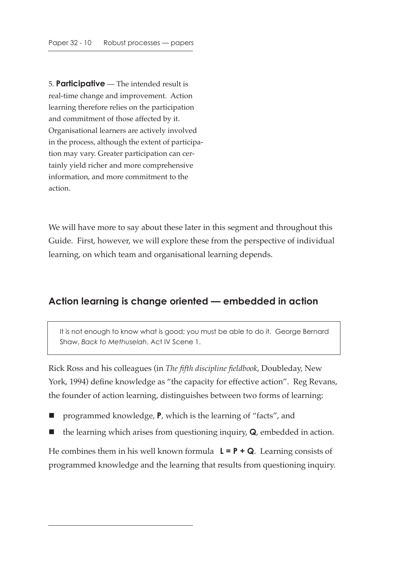5. **Participative** — The intended result is real-time change and improvement. Action learning therefore relies on the participation and commitment of those affected by it. Organisational learners are actively involved in the process, although the extent of participation may vary. Greater participation can certainly yield richer and more comprehensive information, and more commitment to the action.

We will have more to say about these later in this segment and throughout this Guide. First, however, we will explore these from the perspective of individual learning, on which team and organisational learning depends.

#### **Action learning is change oriented — embedded in action**

It is not enough to know what is good; you must be able to do it. George Bernard Shaw, *Back to Methuselah*, Act IV Scene 1.

Rick Ross and his colleagues (in *The fifth discipline fieldbook*, Doubleday, New York, 1994) define knowledge as "the capacity for effective action". Reg Revans, the founder of action learning, distinguishes between two forms of learning:

- programmed knowledge, **P**, which is the learning of "facts", and
- the learning which arises from questioning inquiry, **Q**, embedded in action.

He combines them in his well known formula  $L = P + Q$ . Learning consists of programmed knowledge and the learning that results from questioning inquiry.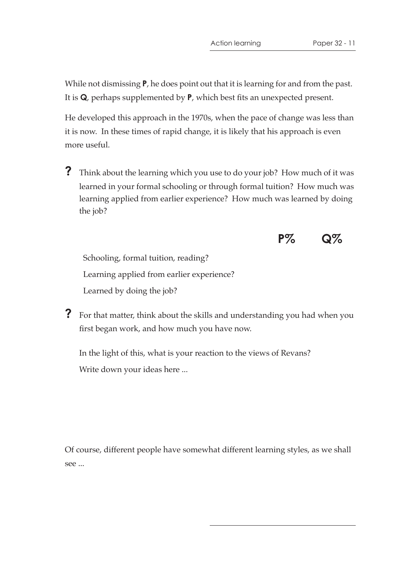While not dismissing **P**, he does point out that it is learning for and from the past. It is **Q**, perhaps supplemented by **P**, which best fits an unexpected present.

He developed this approach in the 1970s, when the pace of change was less than it is now. In these times of rapid change, it is likely that his approach is even more useful.

**?** Think about the learning which you use to do your job? How much of it was learned in your formal schooling or through formal tuition? How much was learning applied from earlier experience? How much was learned by doing the job?



Schooling, formal tuition, reading? Learning applied from earlier experience? Learned by doing the job?

**?** For that matter, think about the skills and understanding you had when you first began work, and how much you have now.

In the light of this, what is your reaction to the views of Revans? Write down your ideas here ...

Of course, different people have somewhat different learning styles, as we shall see ...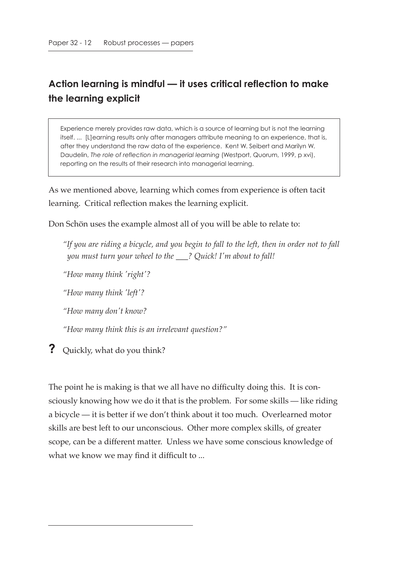# **Action learning is mindful — it uses critical reflection to make the learning explicit**

Experience merely provides raw data, which is a source of learning but is not the learning itself. ... [L]earning results only after managers attribute meaning to an experience, that is, after they understand the raw data of the experience. Kent W. Seibert and Marilyn W. Daudelin, *The role of reflection in managerial learning* (Westport, Quorum, 1999, p xvi), reporting on the results of their research into managerial learning.

As we mentioned above, learning which comes from experience is often tacit learning. Critical reflection makes the learning explicit.

Don Schön uses the example almost all of you will be able to relate to:

*"If you are riding a bicycle, and you begin to fall to the left, then in order not to fall you must turn your wheel to the \_\_\_? Quick! I'm about to fall!*

*"How many think 'right'?*

*"How many think 'left'?*

*"How many don't know?*

*"How many think this is an irrelevant question?"*

**?** Quickly, what do you think?

The point he is making is that we all have no difficulty doing this. It is consciously knowing how we do it that is the problem. For some skills — like riding a bicycle — it is better if we don't think about it too much. Overlearned motor skills are best left to our unconscious. Other more complex skills, of greater scope, can be a different matter. Unless we have some conscious knowledge of what we know we may find it difficult to ...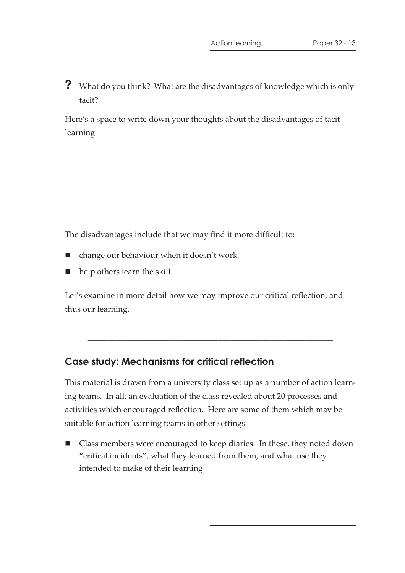**?** What do you think? What are the disadvantages of knowledge which is only tacit?

Here's a space to write down your thoughts about the disadvantages of tacit learning

The disadvantages include that we may find it more difficult to:

- change our behaviour when it doesn't work
- help others learn the skill.

Let's examine in more detail how we may improve our critical reflection, and thus our learning.

\_\_\_\_\_\_\_\_\_\_\_\_\_\_\_\_\_\_\_\_\_\_\_\_\_\_\_\_\_\_\_\_\_\_\_\_\_\_\_\_\_\_\_\_\_\_\_\_\_\_\_\_\_\_\_\_\_\_\_\_

## **Case study: Mechanisms for critical reflection**

This material is drawn from a university class set up as a number of action learning teams. In all, an evaluation of the class revealed about 20 processes and activities which encouraged reflection. Here are some of them which may be suitable for action learning teams in other settings

■ Class members were encouraged to keep diaries. In these, they noted down "critical incidents", what they learned from them, and what use they intended to make of their learning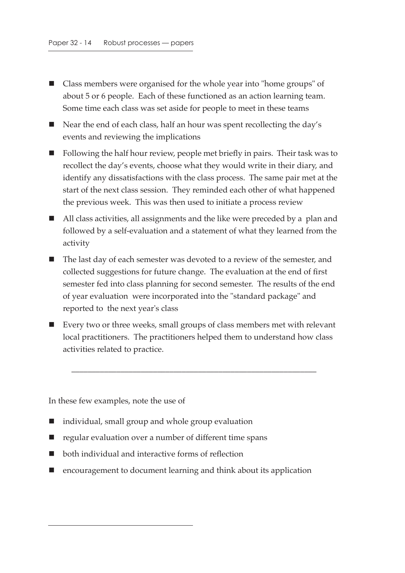- Class members were organised for the whole year into "home groups" of about 5 or 6 people. Each of these functioned as an action learning team. Some time each class was set aside for people to meet in these teams
- Near the end of each class, half an hour was spent recollecting the day's events and reviewing the implications
- Following the half hour review, people met briefly in pairs. Their task was to recollect the day's events, choose what they would write in their diary, and identify any dissatisfactions with the class process. The same pair met at the start of the next class session. They reminded each other of what happened the previous week. This was then used to initiate a process review
- All class activities, all assignments and the like were preceded by a plan and followed by a self-evaluation and a statement of what they learned from the activity
- The last day of each semester was devoted to a review of the semester, and collected suggestions for future change. The evaluation at the end of first semester fed into class planning for second semester. The results of the end of year evaluation were incorporated into the "standard package" and reported to the next year's class
- Every two or three weeks, small groups of class members met with relevant local practitioners. The practitioners helped them to understand how class activities related to practice.

\_\_\_\_\_\_\_\_\_\_\_\_\_\_\_\_\_\_\_\_\_\_\_\_\_\_\_\_\_\_\_\_\_\_\_\_\_\_\_\_\_\_\_\_\_\_\_\_\_\_\_\_\_\_\_\_\_\_\_\_

In these few examples, note the use of

- $\blacksquare$  individual, small group and whole group evaluation
- regular evaluation over a number of different time spans
- both individual and interactive forms of reflection
- encouragement to document learning and think about its application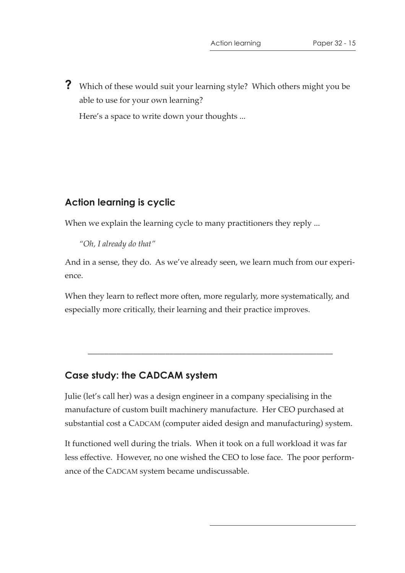**?** Which of these would suit your learning style? Which others might you be able to use for your own learning?

Here's a space to write down your thoughts ...

## **Action learning is cyclic**

When we explain the learning cycle to many practitioners they reply ...

*"Oh, I already do that"*

And in a sense, they do. As we've already seen, we learn much from our experience.

When they learn to reflect more often, more regularly, more systematically, and especially more critically, their learning and their practice improves.

\_\_\_\_\_\_\_\_\_\_\_\_\_\_\_\_\_\_\_\_\_\_\_\_\_\_\_\_\_\_\_\_\_\_\_\_\_\_\_\_\_\_\_\_\_\_\_\_\_\_\_\_\_\_\_\_\_\_\_\_

## **Case study: the CADCAM system**

Julie (let's call her) was a design engineer in a company specialising in the manufacture of custom built machinery manufacture. Her CEO purchased at substantial cost a CADCAM (computer aided design and manufacturing) system.

It functioned well during the trials. When it took on a full workload it was far less effective. However, no one wished the CEO to lose face. The poor performance of the CADCAM system became undiscussable.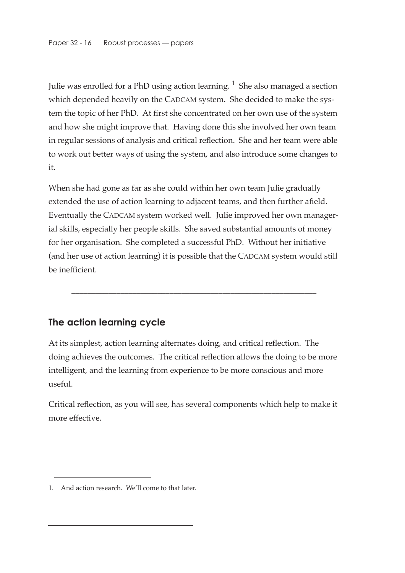Julie was enrolled for a PhD using action learning.<sup>1</sup> She also managed a section which depended heavily on the CADCAM system. She decided to make the system the topic of her PhD. At first she concentrated on her own use of the system and how she might improve that. Having done this she involved her own team in regular sessions of analysis and critical reflection. She and her team were able to work out better ways of using the system, and also introduce some changes to it.

When she had gone as far as she could within her own team Julie gradually extended the use of action learning to adjacent teams, and then further afield. Eventually the CADCAM system worked well. Julie improved her own managerial skills, especially her people skills. She saved substantial amounts of money for her organisation. She completed a successful PhD. Without her initiative (and her use of action learning) it is possible that the CADCAM system would still be inefficient.

\_\_\_\_\_\_\_\_\_\_\_\_\_\_\_\_\_\_\_\_\_\_\_\_\_\_\_\_\_\_\_\_\_\_\_\_\_\_\_\_\_\_\_\_\_\_\_\_\_\_\_\_\_\_\_\_\_\_\_\_

## **The action learning cycle**

At its simplest, action learning alternates doing, and critical reflection. The doing achieves the outcomes. The critical reflection allows the doing to be more intelligent, and the learning from experience to be more conscious and more useful.

Critical reflection, as you will see, has several components which help to make it more effective.

<sup>1.</sup> And action research. We'll come to that later.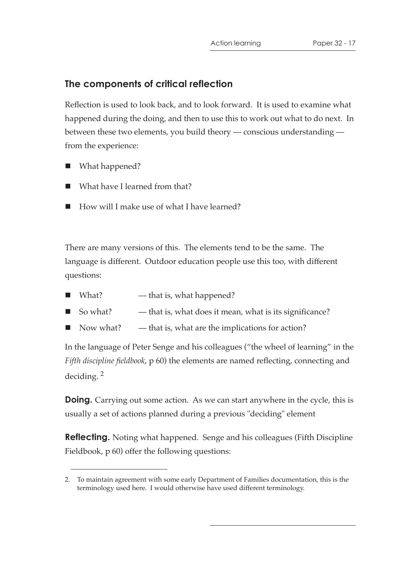## **The components of critical reflection**

Reflection is used to look back, and to look forward. It is used to examine what happened during the doing, and then to use this to work out what to do next. In between these two elements, you build theory — conscious understanding from the experience:

- What happened?
- What have I learned from that?
- $\blacksquare$  How will I make use of what I have learned?

There are many versions of this. The elements tend to be the same. The language is different. Outdoor education people use this too, with different questions:

- $\blacksquare$  What?  $\blacksquare$  that is, what happened?
- So what? that is, what does it mean, what is its significance?
- Now what?  $-\theta$  that is, what are the implications for action?

In the language of Peter Senge and his colleagues ("the wheel of learning" in the *Fifth discipline fieldbook*, p 60) the elements are named reflecting, connecting and deciding. 2

**Doing.** Carrying out some action. As we can start anywhere in the cycle, this is usually a set of actions planned during a previous "deciding" element

**Reflecting.** Noting what happened. Senge and his colleagues (Fifth Discipline Fieldbook, p 60) offer the following questions:

<sup>2.</sup> To maintain agreement with some early Department of Families documentation, this is the terminology used here. I would otherwise have used different terminology.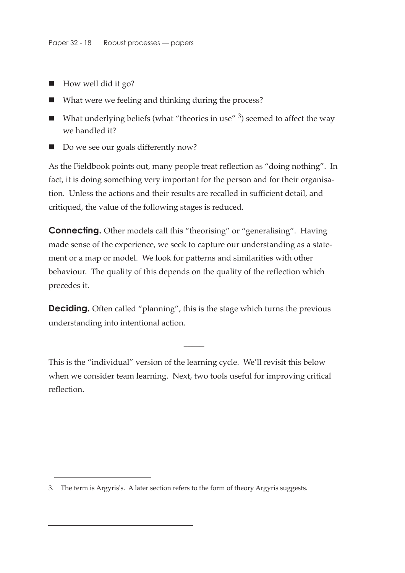- How well did it go?
- What were we feeling and thinking during the process?
- What underlying beliefs (what "theories in use"  $3$ ) seemed to affect the way we handled it?
- Do we see our goals differently now?

As the Fieldbook points out, many people treat reflection as "doing nothing". In fact, it is doing something very important for the person and for their organisation. Unless the actions and their results are recalled in sufficient detail, and critiqued, the value of the following stages is reduced.

**Connecting.** Other models call this "theorising" or "generalising". Having made sense of the experience, we seek to capture our understanding as a statement or a map or model. We look for patterns and similarities with other behaviour. The quality of this depends on the quality of the reflection which precedes it.

**Deciding.** Often called "planning", this is the stage which turns the previous understanding into intentional action.

 $\overline{\phantom{a}}$ 

This is the "individual" version of the learning cycle. We'll revisit this below when we consider team learning. Next, two tools useful for improving critical reflection.

<sup>3.</sup> The term is Argyris's. A later section refers to the form of theory Argyris suggests.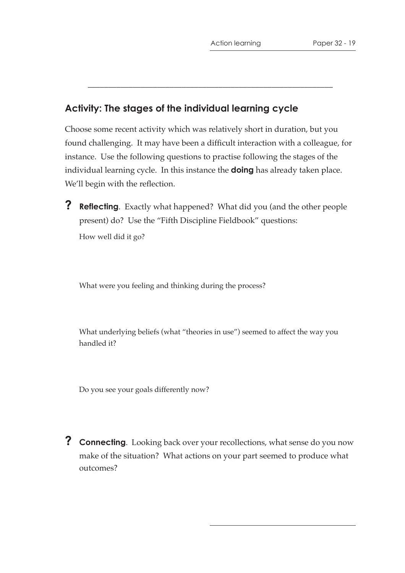## **Activity: The stages of the individual learning cycle**

Choose some recent activity which was relatively short in duration, but you found challenging. It may have been a difficult interaction with a colleague, for instance. Use the following questions to practise following the stages of the individual learning cycle. In this instance the **doing** has already taken place. We'll begin with the reflection.

\_\_\_\_\_\_\_\_\_\_\_\_\_\_\_\_\_\_\_\_\_\_\_\_\_\_\_\_\_\_\_\_\_\_\_\_\_\_\_\_\_\_\_\_\_\_\_\_\_\_\_\_\_\_\_\_\_\_\_\_

**? Reflecting**. Exactly what happened? What did you (and the other people present) do? Use the "Fifth Discipline Fieldbook" questions: How well did it go?

What were you feeling and thinking during the process?

What underlying beliefs (what "theories in use") seemed to affect the way you handled it?

Do you see your goals differently now?

**? Connecting**. Looking back over your recollections, what sense do you now make of the situation? What actions on your part seemed to produce what outcomes?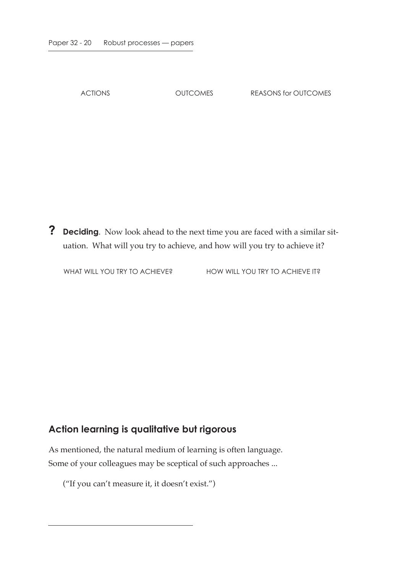ACTIONS OUTCOMES REASONS for OUTCOMES

**? Deciding**. Now look ahead to the next time you are faced with a similar situation. What will you try to achieve, and how will you try to achieve it?

WHAT WILL YOU TRY TO ACHIEVE? HOW WILL YOU TRY TO ACHIEVE IT?

## **Action learning is qualitative but rigorous**

As mentioned, the natural medium of learning is often language. Some of your colleagues may be sceptical of such approaches ...

("If you can't measure it, it doesn't exist.")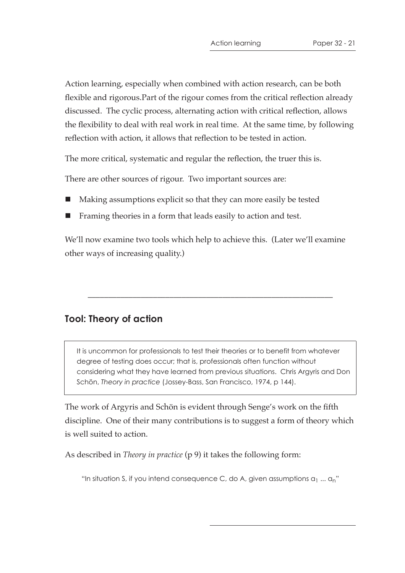Action learning, especially when combined with action research, can be both flexible and rigorous.Part of the rigour comes from the critical reflection already discussed. The cyclic process, alternating action with critical reflection, allows the flexibility to deal with real work in real time. At the same time, by following reflection with action, it allows that reflection to be tested in action.

The more critical, systematic and regular the reflection, the truer this is.

There are other sources of rigour. Two important sources are:

- $\blacksquare$  Making assumptions explicit so that they can more easily be tested
- Framing theories in a form that leads easily to action and test.

We'll now examine two tools which help to achieve this. (Later we'll examine other ways of increasing quality.)

\_\_\_\_\_\_\_\_\_\_\_\_\_\_\_\_\_\_\_\_\_\_\_\_\_\_\_\_\_\_\_\_\_\_\_\_\_\_\_\_\_\_\_\_\_\_\_\_\_\_\_\_\_\_\_\_\_\_\_\_

## **Tool: Theory of action**

It is uncommon for professionals to test their theories or to benefit from whatever degree of testing does occur; that is, professionals often function without considering what they have learned from previous situations. Chris Argyris and Don Schön, *Theory in practice* (Jossey-Bass, San Francisco, 1974, p 144).

The work of Argyris and Schön is evident through Senge's work on the fifth discipline. One of their many contributions is to suggest a form of theory which is well suited to action.

As described in *Theory in practice* (p 9) it takes the following form:

"In situation S, if you intend consequence C, do A, given assumptions  $a_1 ... a_n$ "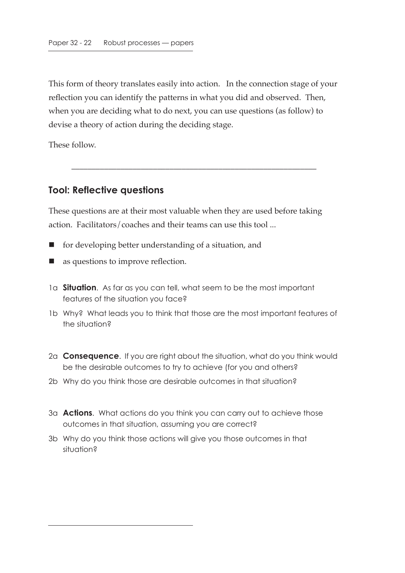This form of theory translates easily into action. In the connection stage of your reflection you can identify the patterns in what you did and observed. Then, when you are deciding what to do next, you can use questions (as follow) to devise a theory of action during the deciding stage.

\_\_\_\_\_\_\_\_\_\_\_\_\_\_\_\_\_\_\_\_\_\_\_\_\_\_\_\_\_\_\_\_\_\_\_\_\_\_\_\_\_\_\_\_\_\_\_\_\_\_\_\_\_\_\_\_\_\_\_\_

These follow.

#### **Tool: Reflective questions**

These questions are at their most valuable when they are used before taking action. Facilitators/coaches and their teams can use this tool ...

- $\blacksquare$  for developing better understanding of a situation, and
- as questions to improve reflection.
- 1a **Situation**. As far as you can tell, what seem to be the most important features of the situation you face?
- 1b Why? What leads you to think that those are the most important features of the situation?
- 2a **Consequence**. If you are right about the situation, what do you think would be the desirable outcomes to try to achieve (for you and others?
- 2b Why do you think those are desirable outcomes in that situation?
- 3a **Actions**. What actions do you think you can carry out to achieve those outcomes in that situation, assuming you are correct?
- 3b Why do you think those actions will give you those outcomes in that situation?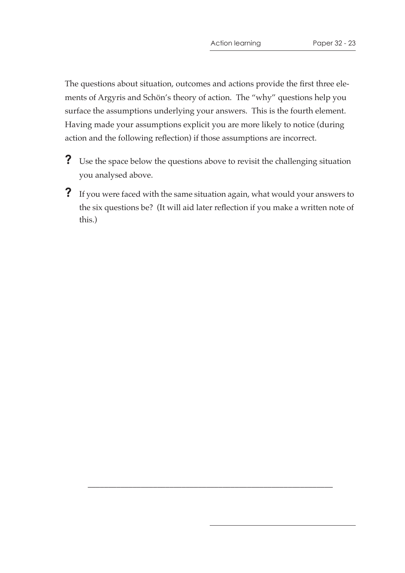The questions about situation, outcomes and actions provide the first three elements of Argyris and Schön's theory of action. The "why" questions help you surface the assumptions underlying your answers. This is the fourth element. Having made your assumptions explicit you are more likely to notice (during action and the following reflection) if those assumptions are incorrect.

- **?** Use the space below the questions above to revisit the challenging situation you analysed above.
- **?** If you were faced with the same situation again, what would your answers to the six questions be? (It will aid later reflection if you make a written note of this.)

\_\_\_\_\_\_\_\_\_\_\_\_\_\_\_\_\_\_\_\_\_\_\_\_\_\_\_\_\_\_\_\_\_\_\_\_\_\_\_\_\_\_\_\_\_\_\_\_\_\_\_\_\_\_\_\_\_\_\_\_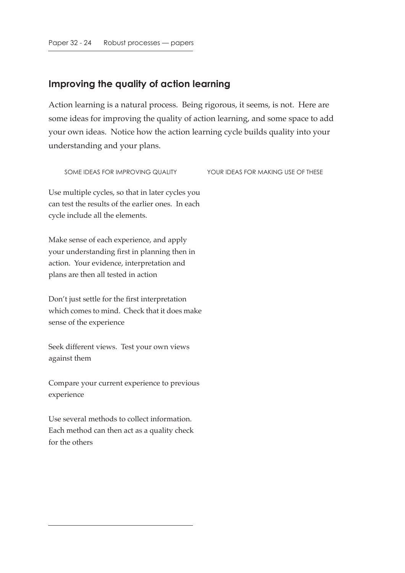### **Improving the quality of action learning**

Action learning is a natural process. Being rigorous, it seems, is not. Here are some ideas for improving the quality of action learning, and some space to add your own ideas. Notice how the action learning cycle builds quality into your understanding and your plans.

SOME IDEAS FOR IMPROVING QUALITY YOUR IDEAS FOR MAKING USE OF THESE

Use multiple cycles, so that in later cycles you can test the results of the earlier ones. In each cycle include all the elements.

Make sense of each experience, and apply your understanding first in planning then in action. Your evidence, interpretation and plans are then all tested in action

Don't just settle for the first interpretation which comes to mind. Check that it does make sense of the experience

Seek different views. Test your own views against them

Compare your current experience to previous experience

Use several methods to collect information. Each method can then act as a quality check for the others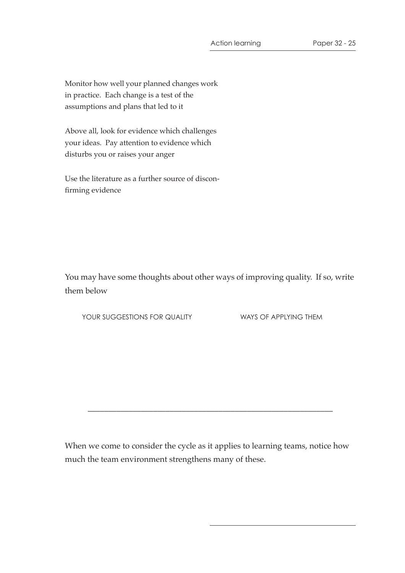Monitor how well your planned changes work in practice. Each change is a test of the assumptions and plans that led to it

Above all, look for evidence which challenges your ideas. Pay attention to evidence which disturbs you or raises your anger

Use the literature as a further source of disconfirming evidence

You may have some thoughts about other ways of improving quality. If so, write them below

YOUR SUGGESTIONS FOR QUALITY WAYS OF APPLYING THEM

When we come to consider the cycle as it applies to learning teams, notice how much the team environment strengthens many of these.

\_\_\_\_\_\_\_\_\_\_\_\_\_\_\_\_\_\_\_\_\_\_\_\_\_\_\_\_\_\_\_\_\_\_\_\_\_\_\_\_\_\_\_\_\_\_\_\_\_\_\_\_\_\_\_\_\_\_\_\_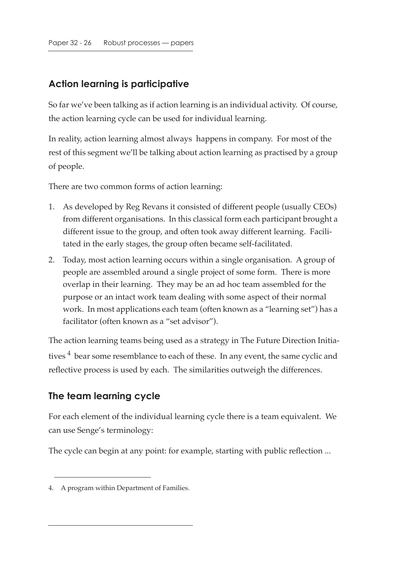## **Action learning is participative**

So far we've been talking as if action learning is an individual activity. Of course, the action learning cycle can be used for individual learning.

In reality, action learning almost always happens in company. For most of the rest of this segment we'll be talking about action learning as practised by a group of people.

There are two common forms of action learning:

- 1. As developed by Reg Revans it consisted of different people (usually CEOs) from different organisations. In this classical form each participant brought a different issue to the group, and often took away different learning. Facilitated in the early stages, the group often became self-facilitated.
- 2. Today, most action learning occurs within a single organisation. A group of people are assembled around a single project of some form. There is more overlap in their learning. They may be an ad hoc team assembled for the purpose or an intact work team dealing with some aspect of their normal work. In most applications each team (often known as a "learning set") has a facilitator (often known as a "set advisor").

The action learning teams being used as a strategy in The Future Direction Initiatives  $4$  bear some resemblance to each of these. In any event, the same cyclic and reflective process is used by each. The similarities outweigh the differences.

## **The team learning cycle**

For each element of the individual learning cycle there is a team equivalent. We can use Senge's terminology:

The cycle can begin at any point: for example, starting with public reflection ...

<sup>4.</sup> A program within Department of Families.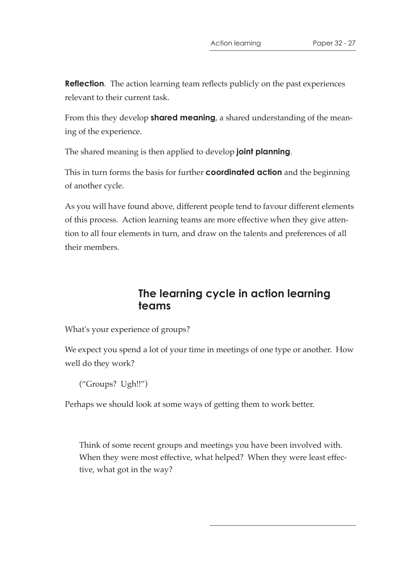**Reflection**. The action learning team reflects publicly on the past experiences relevant to their current task.

From this they develop **shared meaning**, a shared understanding of the meaning of the experience.

The shared meaning is then applied to develop **joint planning**.

This in turn forms the basis for further **coordinated action** and the beginning of another cycle.

As you will have found above, different people tend to favour different elements of this process. Action learning teams are more effective when they give attention to all four elements in turn, and draw on the talents and preferences of all their members.

# **The learning cycle in action learning teams**

What's your experience of groups?

We expect you spend a lot of your time in meetings of one type or another. How well do they work?

("Groups? Ugh!!")

Perhaps we should look at some ways of getting them to work better.

Think of some recent groups and meetings you have been involved with. When they were most effective, what helped? When they were least effective, what got in the way?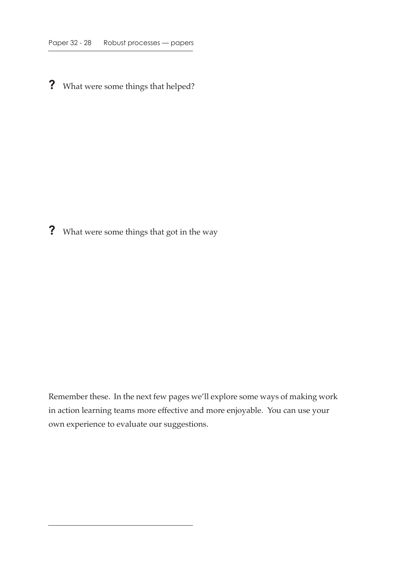**?** What were some things that helped?

**?** What were some things that got in the way

Remember these. In the next few pages we'll explore some ways of making work in action learning teams more effective and more enjoyable. You can use your own experience to evaluate our suggestions.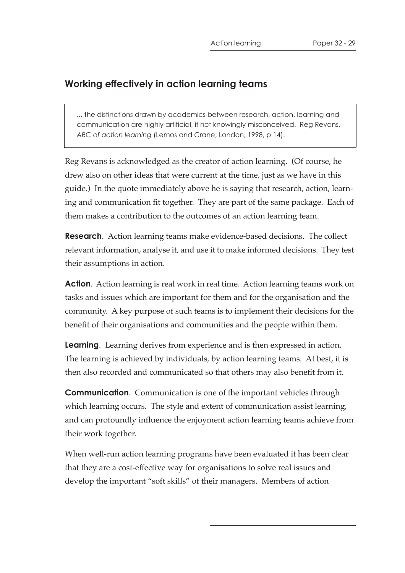## **Working effectively in action learning teams**

... the distinctions drawn by academics between research, action, learning and communication are highly artificial, if not knowingly misconceived. Reg Revans, *ABC of action learning* (Lemos and Crane, London, 1998, p 14).

Reg Revans is acknowledged as the creator of action learning. (Of course, he drew also on other ideas that were current at the time, just as we have in this guide.) In the quote immediately above he is saying that research, action, learning and communication fit together. They are part of the same package. Each of them makes a contribution to the outcomes of an action learning team.

**Research**. Action learning teams make evidence-based decisions. The collect relevant information, analyse it, and use it to make informed decisions. They test their assumptions in action.

**Action**. Action learning is real work in real time. Action learning teams work on tasks and issues which are important for them and for the organisation and the community. A key purpose of such teams is to implement their decisions for the benefit of their organisations and communities and the people within them.

**Learning**. Learning derives from experience and is then expressed in action. The learning is achieved by individuals, by action learning teams. At best, it is then also recorded and communicated so that others may also benefit from it.

**Communication**. Communication is one of the important vehicles through which learning occurs. The style and extent of communication assist learning, and can profoundly influence the enjoyment action learning teams achieve from their work together.

When well-run action learning programs have been evaluated it has been clear that they are a cost-effective way for organisations to solve real issues and develop the important "soft skills" of their managers. Members of action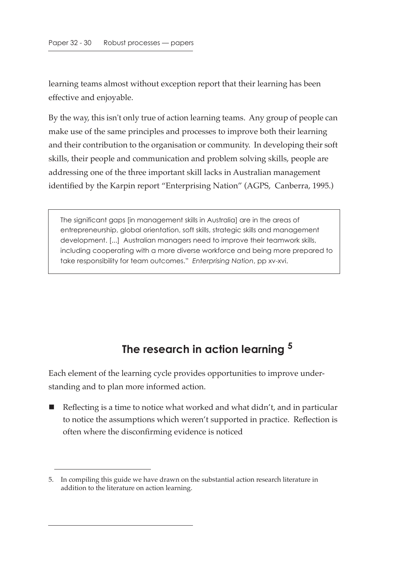learning teams almost without exception report that their learning has been effective and enjoyable.

By the way, this isn't only true of action learning teams. Any group of people can make use of the same principles and processes to improve both their learning and their contribution to the organisation or community. In developing their soft skills, their people and communication and problem solving skills, people are addressing one of the three important skill lacks in Australian management identified by the Karpin report "Enterprising Nation" (AGPS, Canberra, 1995.)

The significant gaps [in management skills in Australia] are in the areas of entrepreneurship, global orientation, soft skills, strategic skills and management development. [...] Australian managers need to improve their teamwork skills, including cooperating with a more diverse workforce and being more prepared to take responsibility for team outcomes." *Enterprising Nation*, pp xv-xvi.

# **The research in action learning 5**

Each element of the learning cycle provides opportunities to improve understanding and to plan more informed action.

Reflecting is a time to notice what worked and what didn't, and in particular to notice the assumptions which weren't supported in practice. Reflection is often where the disconfirming evidence is noticed

<sup>5.</sup> In compiling this guide we have drawn on the substantial action research literature in addition to the literature on action learning.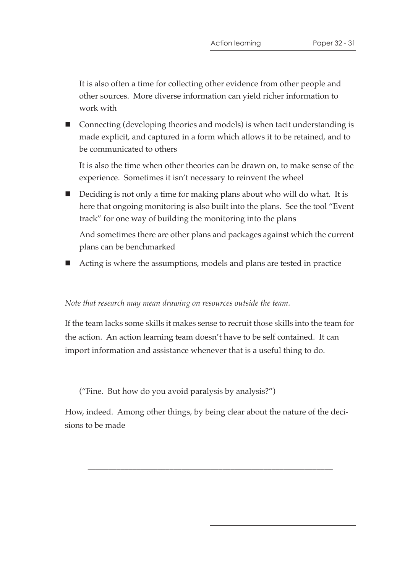It is also often a time for collecting other evidence from other people and other sources. More diverse information can yield richer information to work with

■ Connecting (developing theories and models) is when tacit understanding is made explicit, and captured in a form which allows it to be retained, and to be communicated to others

It is also the time when other theories can be drawn on, to make sense of the experience. Sometimes it isn't necessary to reinvent the wheel

■ Deciding is not only a time for making plans about who will do what. It is here that ongoing monitoring is also built into the plans. See the tool "Event track" for one way of building the monitoring into the plans

And sometimes there are other plans and packages against which the current plans can be benchmarked

■ Acting is where the assumptions, models and plans are tested in practice

#### *Note that research may mean drawing on resources outside the team.*

If the team lacks some skills it makes sense to recruit those skills into the team for the action. An action learning team doesn't have to be self contained. It can import information and assistance whenever that is a useful thing to do.

("Fine. But how do you avoid paralysis by analysis?")

How, indeed. Among other things, by being clear about the nature of the decisions to be made

\_\_\_\_\_\_\_\_\_\_\_\_\_\_\_\_\_\_\_\_\_\_\_\_\_\_\_\_\_\_\_\_\_\_\_\_\_\_\_\_\_\_\_\_\_\_\_\_\_\_\_\_\_\_\_\_\_\_\_\_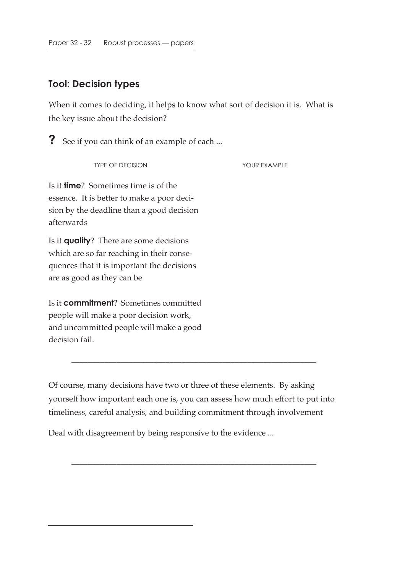### **Tool: Decision types**

When it comes to deciding, it helps to know what sort of decision it is. What is the key issue about the decision?

**?** See if you can think of an example of each ...

TYPE OF DECISION TYPE OF DECISION

Is it **time**? Sometimes time is of the essence. It is better to make a poor decision by the deadline than a good decision afterwards

Is it **quality**? There are some decisions which are so far reaching in their consequences that it is important the decisions are as good as they can be

Is it **commitment**? Sometimes committed people will make a poor decision work, and uncommitted people will make a good decision fail.

Of course, many decisions have two or three of these elements. By asking yourself how important each one is, you can assess how much effort to put into timeliness, careful analysis, and building commitment through involvement

\_\_\_\_\_\_\_\_\_\_\_\_\_\_\_\_\_\_\_\_\_\_\_\_\_\_\_\_\_\_\_\_\_\_\_\_\_\_\_\_\_\_\_\_\_\_\_\_\_\_\_\_\_\_\_\_\_\_\_\_

\_\_\_\_\_\_\_\_\_\_\_\_\_\_\_\_\_\_\_\_\_\_\_\_\_\_\_\_\_\_\_\_\_\_\_\_\_\_\_\_\_\_\_\_\_\_\_\_\_\_\_\_\_\_\_\_\_\_\_\_

Deal with disagreement by being responsive to the evidence ...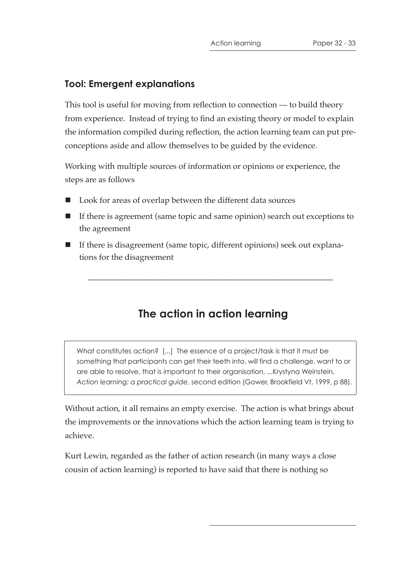## **Tool: Emergent explanations**

This tool is useful for moving from reflection to connection — to build theory from experience. Instead of trying to find an existing theory or model to explain the information compiled during reflection, the action learning team can put preconceptions aside and allow themselves to be guided by the evidence.

Working with multiple sources of information or opinions or experience, the steps are as follows

- Look for areas of overlap between the different data sources
- If there is agreement (same topic and same opinion) search out exceptions to the agreement
- If there is disagreement (same topic, different opinions) seek out explanations for the disagreement

\_\_\_\_\_\_\_\_\_\_\_\_\_\_\_\_\_\_\_\_\_\_\_\_\_\_\_\_\_\_\_\_\_\_\_\_\_\_\_\_\_\_\_\_\_\_\_\_\_\_\_\_\_\_\_\_\_\_\_\_

# **The action in action learning**

What constitutes action? [...] The essence of a project/task is that it must be something that participants can get their teeth into, will find a challenge, want to or are able to resolve, that is important to their organisation, ...Krystyna Weinstein, *Action learning: a practical guide*, second edition (Gower, Brookfield Vt, 1999, p 88).

Without action, it all remains an empty exercise. The action is what brings about the improvements or the innovations which the action learning team is trying to achieve.

Kurt Lewin, regarded as the father of action research (in many ways a close cousin of action learning) is reported to have said that there is nothing so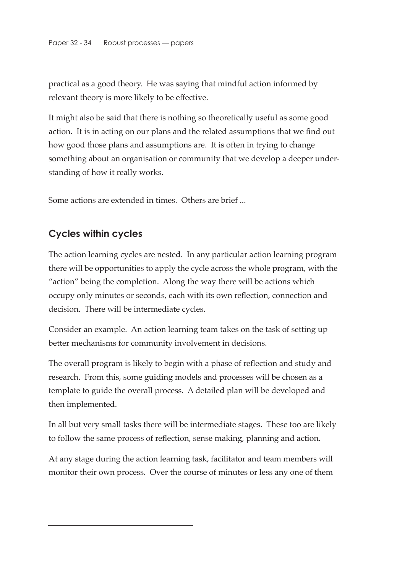practical as a good theory. He was saying that mindful action informed by relevant theory is more likely to be effective.

It might also be said that there is nothing so theoretically useful as some good action. It is in acting on our plans and the related assumptions that we find out how good those plans and assumptions are. It is often in trying to change something about an organisation or community that we develop a deeper understanding of how it really works.

Some actions are extended in times. Others are brief ...

### **Cycles within cycles**

The action learning cycles are nested. In any particular action learning program there will be opportunities to apply the cycle across the whole program, with the "action" being the completion. Along the way there will be actions which occupy only minutes or seconds, each with its own reflection, connection and decision. There will be intermediate cycles.

Consider an example. An action learning team takes on the task of setting up better mechanisms for community involvement in decisions.

The overall program is likely to begin with a phase of reflection and study and research. From this, some guiding models and processes will be chosen as a template to guide the overall process. A detailed plan will be developed and then implemented.

In all but very small tasks there will be intermediate stages. These too are likely to follow the same process of reflection, sense making, planning and action.

At any stage during the action learning task, facilitator and team members will monitor their own process. Over the course of minutes or less any one of them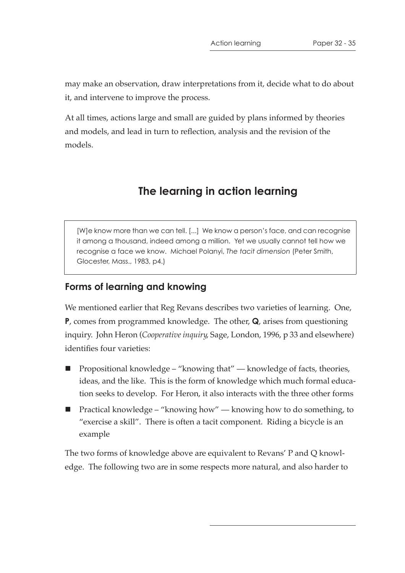may make an observation, draw interpretations from it, decide what to do about it, and intervene to improve the process.

At all times, actions large and small are guided by plans informed by theories and models, and lead in turn to reflection, analysis and the revision of the models.

# **The learning in action learning**

[W]e know more than we can tell. [...] We know a person's face, and can recognise it among a thousand, indeed among a million. Yet we usually cannot tell how we recognise a face we know. Michael Polanyi, *The tacit dimension* (Peter Smith, Glocester, Mass., 1983, p4.)

## **Forms of learning and knowing**

We mentioned earlier that Reg Revans describes two varieties of learning. One, **P**, comes from programmed knowledge. The other, **Q**, arises from questioning inquiry. John Heron (*Cooperative inquiry*, Sage, London, 1996, p 33 and elsewhere) identifies four varieties:

- **Propositional knowledge "knowing that" knowledge of facts, theories,** ideas, and the like. This is the form of knowledge which much formal education seeks to develop. For Heron, it also interacts with the three other forms
- **Practical knowledge "knowing how" knowing how to do something, to** "exercise a skill". There is often a tacit component. Riding a bicycle is an example

The two forms of knowledge above are equivalent to Revans' P and Q knowledge. The following two are in some respects more natural, and also harder to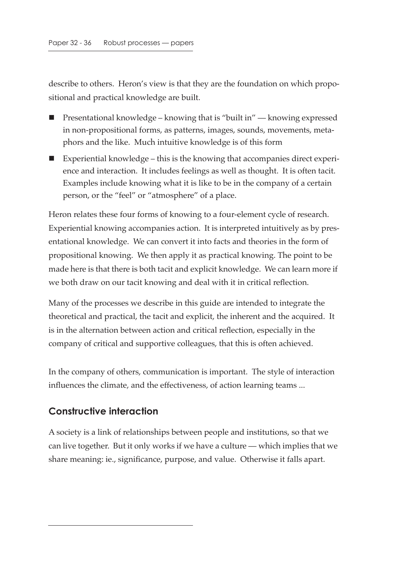describe to others. Heron's view is that they are the foundation on which propositional and practical knowledge are built.

- **Presentational knowledge knowing that is "built in" knowing expressed** in non-propositional forms, as patterns, images, sounds, movements, metaphors and the like. Much intuitive knowledge is of this form
- Experiential knowledge this is the knowing that accompanies direct experience and interaction. It includes feelings as well as thought. It is often tacit. Examples include knowing what it is like to be in the company of a certain person, or the "feel" or "atmosphere" of a place.

Heron relates these four forms of knowing to a four-element cycle of research. Experiential knowing accompanies action. It is interpreted intuitively as by presentational knowledge. We can convert it into facts and theories in the form of propositional knowing. We then apply it as practical knowing. The point to be made here is that there is both tacit and explicit knowledge. We can learn more if we both draw on our tacit knowing and deal with it in critical reflection.

Many of the processes we describe in this guide are intended to integrate the theoretical and practical, the tacit and explicit, the inherent and the acquired. It is in the alternation between action and critical reflection, especially in the company of critical and supportive colleagues, that this is often achieved.

In the company of others, communication is important. The style of interaction influences the climate, and the effectiveness, of action learning teams ...

## **Constructive interaction**

A society is a link of relationships between people and institutions, so that we can live together. But it only works if we have a culture — which implies that we share meaning: ie., significance, purpose, and value. Otherwise it falls apart.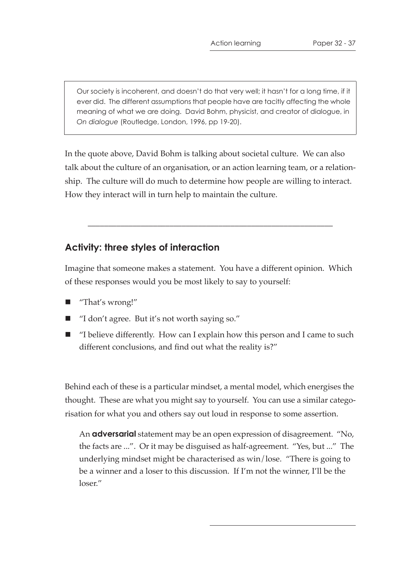Our society is incoherent, and doesn't do that very well; it hasn't for a long time, if it ever did. The different assumptions that people have are tacitly affecting the whole meaning of what we are doing. David Bohm, physicist, and creator of dialogue, in *On dialogue* (Routledge, London, 1996, pp 19-20).

In the quote above, David Bohm is talking about societal culture. We can also talk about the culture of an organisation, or an action learning team, or a relationship. The culture will do much to determine how people are willing to interact. How they interact will in turn help to maintain the culture.

\_\_\_\_\_\_\_\_\_\_\_\_\_\_\_\_\_\_\_\_\_\_\_\_\_\_\_\_\_\_\_\_\_\_\_\_\_\_\_\_\_\_\_\_\_\_\_\_\_\_\_\_\_\_\_\_\_\_\_\_

# **Activity: three styles of interaction**

Imagine that someone makes a statement. You have a different opinion. Which of these responses would you be most likely to say to yourself:

- "That's wrong!"
- "I don't agree. But it's not worth saying so."
- *"I* believe differently. How can I explain how this person and I came to such different conclusions, and find out what the reality is?"

Behind each of these is a particular mindset, a mental model, which energises the thought. These are what you might say to yourself. You can use a similar categorisation for what you and others say out loud in response to some assertion.

An **adversarial** statement may be an open expression of disagreement. "No, the facts are ...". Or it may be disguised as half-agreement. "Yes, but ..." The underlying mindset might be characterised as win/lose. "There is going to be a winner and a loser to this discussion. If I'm not the winner, I'll be the loser."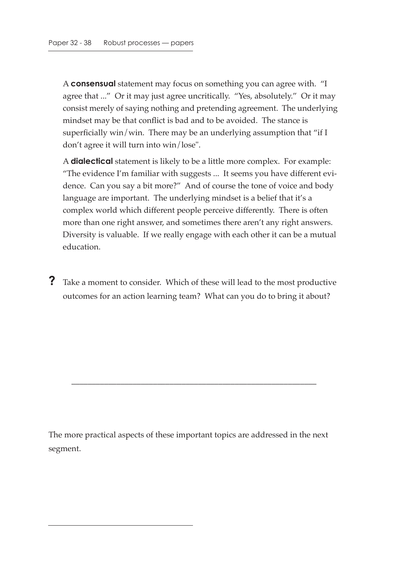A **consensual** statement may focus on something you can agree with. "I agree that ..." Or it may just agree uncritically. "Yes, absolutely." Or it may consist merely of saying nothing and pretending agreement. The underlying mindset may be that conflict is bad and to be avoided. The stance is superficially win/win. There may be an underlying assumption that "if I don't agree it will turn into win/lose".

A **dialectical** statement is likely to be a little more complex. For example: "The evidence I'm familiar with suggests ... It seems you have different evidence. Can you say a bit more?" And of course the tone of voice and body language are important. The underlying mindset is a belief that it's a complex world which different people perceive differently. There is often more than one right answer, and sometimes there aren't any right answers. Diversity is valuable. If we really engage with each other it can be a mutual education.

**?** Take a moment to consider. Which of these will lead to the most productive outcomes for an action learning team? What can you do to bring it about?

The more practical aspects of these important topics are addressed in the next segment.

\_\_\_\_\_\_\_\_\_\_\_\_\_\_\_\_\_\_\_\_\_\_\_\_\_\_\_\_\_\_\_\_\_\_\_\_\_\_\_\_\_\_\_\_\_\_\_\_\_\_\_\_\_\_\_\_\_\_\_\_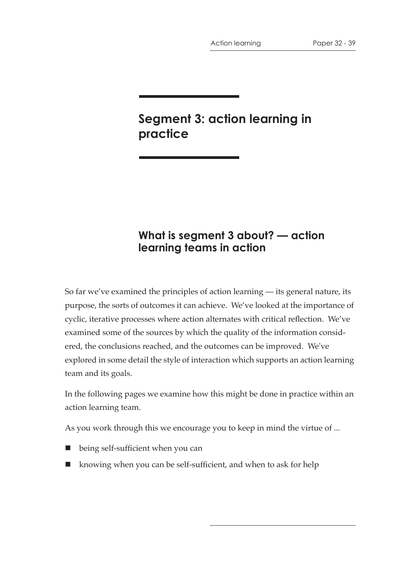# **Segment 3: action learning in practice**

# **What is segment 3 about? — action learning teams in action**

So far we've examined the principles of action learning — its general nature, its purpose, the sorts of outcomes it can achieve. We've looked at the importance of cyclic, iterative processes where action alternates with critical reflection. We've examined some of the sources by which the quality of the information considered, the conclusions reached, and the outcomes can be improved. We've explored in some detail the style of interaction which supports an action learning team and its goals.

In the following pages we examine how this might be done in practice within an action learning team.

As you work through this we encourage you to keep in mind the virtue of ...

- being self-sufficient when you can
- knowing when you can be self-sufficient, and when to ask for help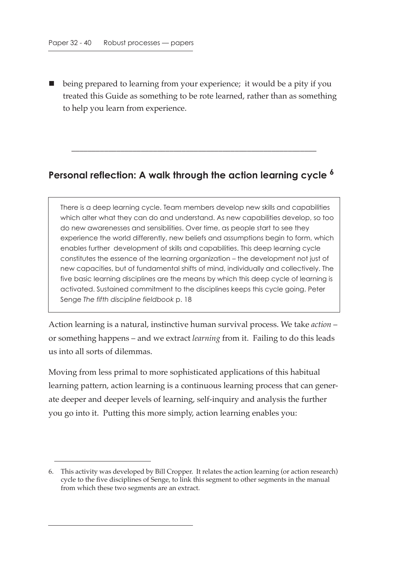being prepared to learning from your experience; it would be a pity if you treated this Guide as something to be rote learned, rather than as something to help you learn from experience.

### **Personal reflection: A walk through the action learning cycle 6**

\_\_\_\_\_\_\_\_\_\_\_\_\_\_\_\_\_\_\_\_\_\_\_\_\_\_\_\_\_\_\_\_\_\_\_\_\_\_\_\_\_\_\_\_\_\_\_\_\_\_\_\_\_\_\_\_\_\_\_\_

There is a deep learning cycle. Team members develop new skills and capabilities which alter what they can do and understand. As new capabilities develop, so too do new awarenesses and sensibilities. Over time, as people start to see they experience the world differently, new beliefs and assumptions begin to form, which enables further development of skills and capabilities. This deep learning cycle constitutes the essence of the learning organization – the development not just of new capacities, but of fundamental shifts of mind, individually and collectively. The five basic learning disciplines are the means by which this deep cycle of learning is activated. Sustained commitment to the disciplines keeps this cycle going. Peter Senge *The fifth discipline fieldbook* p. 18

Action learning is a natural, instinctive human survival process. We take *action* – or something happens – and we extract *learning* from it. Failing to do this leads us into all sorts of dilemmas.

Moving from less primal to more sophisticated applications of this habitual learning pattern, action learning is a continuous learning process that can generate deeper and deeper levels of learning, self-inquiry and analysis the further you go into it. Putting this more simply, action learning enables you:

<sup>6.</sup> This activity was developed by Bill Cropper. It relates the action learning (or action research) cycle to the five disciplines of Senge, to link this segment to other segments in the manual from which these two segments are an extract.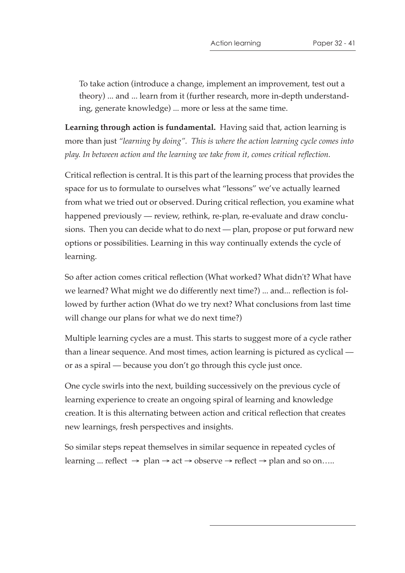To take action (introduce a change, implement an improvement, test out a theory) ... and ... learn from it (further research, more in-depth understanding, generate knowledge) ... more or less at the same time.

**Learning through action is fundamental.** Having said that, action learning is more than just *"learning by doing". This is where the action learning cycle comes into play. In between action and the learning we take from it, comes critical reflection.* 

Critical reflection is central. It is this part of the learning process that provides the space for us to formulate to ourselves what "lessons" we've actually learned from what we tried out or observed. During critical reflection, you examine what happened previously — review, rethink, re-plan, re-evaluate and draw conclusions. Then you can decide what to do next — plan, propose or put forward new options or possibilities. Learning in this way continually extends the cycle of learning.

So after action comes critical reflection (What worked? What didn't? What have we learned? What might we do differently next time?) ... and... reflection is followed by further action (What do we try next? What conclusions from last time will change our plans for what we do next time?)

Multiple learning cycles are a must. This starts to suggest more of a cycle rather than a linear sequence. And most times, action learning is pictured as cyclical or as a spiral — because you don't go through this cycle just once.

One cycle swirls into the next, building successively on the previous cycle of learning experience to create an ongoing spiral of learning and knowledge creation. It is this alternating between action and critical reflection that creates new learnings, fresh perspectives and insights.

So similar steps repeat themselves in similar sequence in repeated cycles of learning ... reflect  $\rightarrow$  plan  $\rightarrow$  act  $\rightarrow$  observe  $\rightarrow$  reflect  $\rightarrow$  plan and so on.....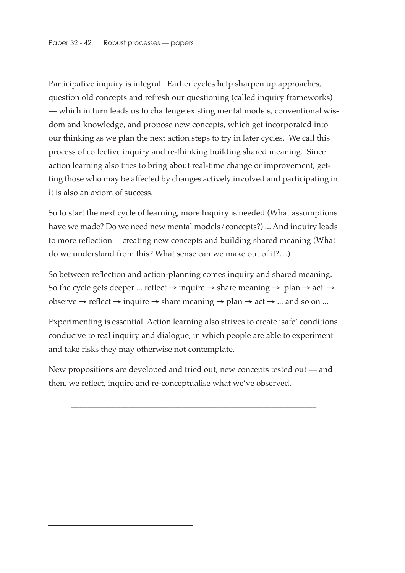Participative inquiry is integral. Earlier cycles help sharpen up approaches, question old concepts and refresh our questioning (called inquiry frameworks) — which in turn leads us to challenge existing mental models, conventional wisdom and knowledge, and propose new concepts, which get incorporated into our thinking as we plan the next action steps to try in later cycles. We call this process of collective inquiry and re-thinking building shared meaning. Since action learning also tries to bring about real-time change or improvement, getting those who may be affected by changes actively involved and participating in it is also an axiom of success.

So to start the next cycle of learning, more Inquiry is needed (What assumptions have we made? Do we need new mental models/concepts?) ... And inquiry leads to more reflection – creating new concepts and building shared meaning (What do we understand from this? What sense can we make out of it?…)

So between reflection and action-planning comes inquiry and shared meaning. So the cycle gets deeper ... reflect  $\rightarrow$  inquire  $\rightarrow$  share meaning  $\rightarrow$  plan  $\rightarrow$  act  $\rightarrow$ observe  $\rightarrow$  reflect  $\rightarrow$  inquire  $\rightarrow$  share meaning  $\rightarrow$  plan  $\rightarrow$  act  $\rightarrow$  ... and so on ...

Experimenting is essential. Action learning also strives to create 'safe' conditions conducive to real inquiry and dialogue, in which people are able to experiment and take risks they may otherwise not contemplate.

New propositions are developed and tried out, new concepts tested out — and then, we reflect, inquire and re-conceptualise what we've observed.

\_\_\_\_\_\_\_\_\_\_\_\_\_\_\_\_\_\_\_\_\_\_\_\_\_\_\_\_\_\_\_\_\_\_\_\_\_\_\_\_\_\_\_\_\_\_\_\_\_\_\_\_\_\_\_\_\_\_\_\_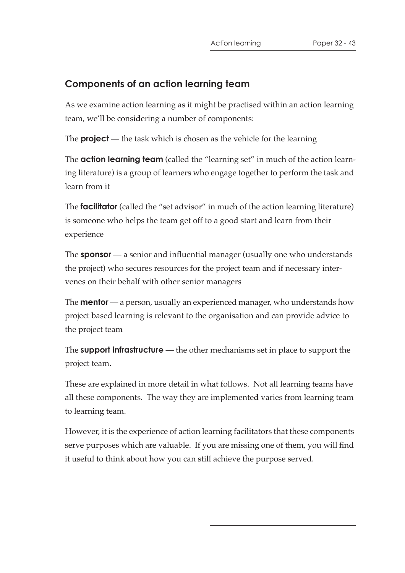# **Components of an action learning team**

As we examine action learning as it might be practised within an action learning team, we'll be considering a number of components:

The **project** — the task which is chosen as the vehicle for the learning

The **action learning team** (called the "learning set" in much of the action learning literature) is a group of learners who engage together to perform the task and learn from it

The **facilitator** (called the "set advisor" in much of the action learning literature) is someone who helps the team get off to a good start and learn from their experience

The **sponsor** — a senior and influential manager (usually one who understands the project) who secures resources for the project team and if necessary intervenes on their behalf with other senior managers

The **mentor** — a person, usually an experienced manager, who understands how project based learning is relevant to the organisation and can provide advice to the project team

The **support infrastructure** — the other mechanisms set in place to support the project team.

These are explained in more detail in what follows. Not all learning teams have all these components. The way they are implemented varies from learning team to learning team.

However, it is the experience of action learning facilitators that these components serve purposes which are valuable. If you are missing one of them, you will find it useful to think about how you can still achieve the purpose served.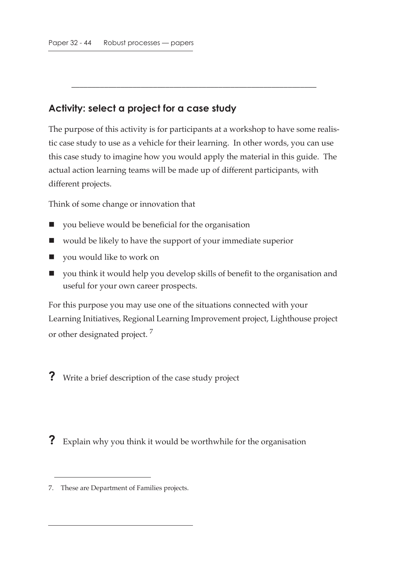# **Activity: select a project for a case study**

The purpose of this activity is for participants at a workshop to have some realistic case study to use as a vehicle for their learning. In other words, you can use this case study to imagine how you would apply the material in this guide. The actual action learning teams will be made up of different participants, with different projects.

\_\_\_\_\_\_\_\_\_\_\_\_\_\_\_\_\_\_\_\_\_\_\_\_\_\_\_\_\_\_\_\_\_\_\_\_\_\_\_\_\_\_\_\_\_\_\_\_\_\_\_\_\_\_\_\_\_\_\_\_

Think of some change or innovation that

- you believe would be beneficial for the organisation
- would be likely to have the support of your immediate superior
- you would like to work on
- you think it would help you develop skills of benefit to the organisation and useful for your own career prospects.

For this purpose you may use one of the situations connected with your Learning Initiatives, Regional Learning Improvement project, Lighthouse project or other designated project. 7

- **?** Write a brief description of the case study project
- **?** Explain why you think it would be worthwhile for the organisation

<sup>7.</sup> These are Department of Families projects.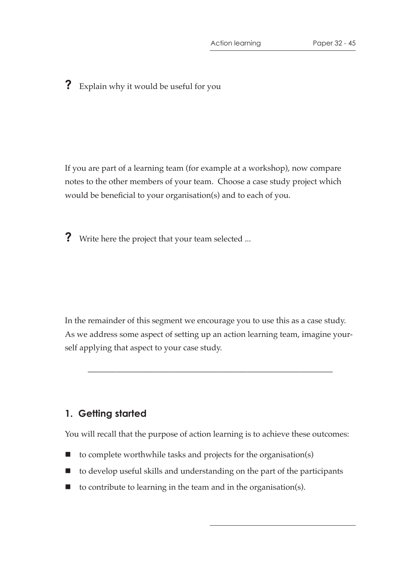**?** Explain why it would be useful for you

If you are part of a learning team (for example at a workshop), now compare notes to the other members of your team. Choose a case study project which would be beneficial to your organisation(s) and to each of you.

**?** Write here the project that your team selected ...

In the remainder of this segment we encourage you to use this as a case study. As we address some aspect of setting up an action learning team, imagine yourself applying that aspect to your case study.

\_\_\_\_\_\_\_\_\_\_\_\_\_\_\_\_\_\_\_\_\_\_\_\_\_\_\_\_\_\_\_\_\_\_\_\_\_\_\_\_\_\_\_\_\_\_\_\_\_\_\_\_\_\_\_\_\_\_\_\_

#### **1. Getting started**

You will recall that the purpose of action learning is to achieve these outcomes:

- $\blacksquare$  to complete worthwhile tasks and projects for the organisation(s)
- to develop useful skills and understanding on the part of the participants
- $\blacksquare$  to contribute to learning in the team and in the organisation(s).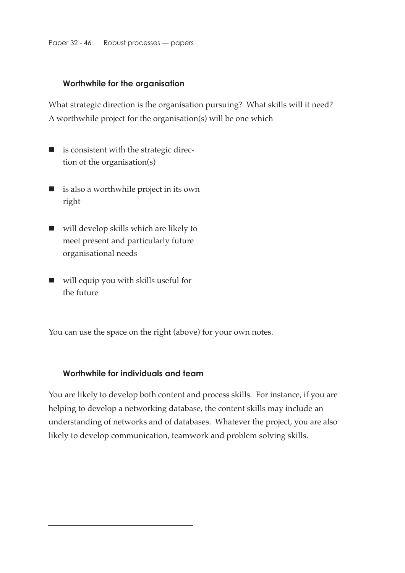#### **Worthwhile for the organisation**

What strategic direction is the organisation pursuing? What skills will it need? A worthwhile project for the organisation(s) will be one which

- is consistent with the strategic direction of the organisation(s)
- is also a worthwhile project in its own right
- will develop skills which are likely to meet present and particularly future organisational needs
- will equip you with skills useful for the future

You can use the space on the right (above) for your own notes.

#### **Worthwhile for individuals and team**

You are likely to develop both content and process skills. For instance, if you are helping to develop a networking database, the content skills may include an understanding of networks and of databases. Whatever the project, you are also likely to develop communication, teamwork and problem solving skills.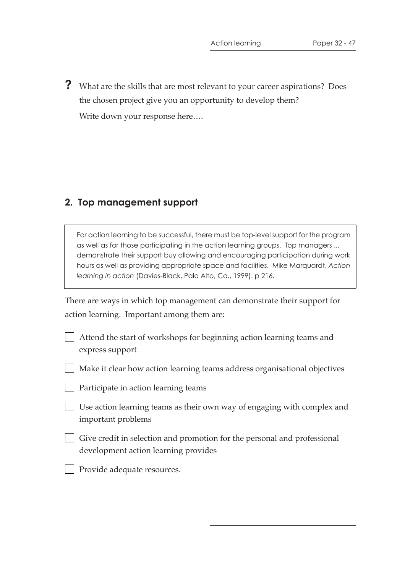Action learning Paper 32 - 47

**?** What are the skills that are most relevant to your career aspirations? Does the chosen project give you an opportunity to develop them? Write down your response here….

### **2. Top management support**

For action learning to be successful, there must be top-level support for the program as well as for those participating in the action learning groups. Top managers ... demonstrate their support buy allowing and encouraging participation during work hours as well as providing appropriate space and facilities. Mike Marquardt, *Action learning in action* (Davies-Black, Palo Alto, Ca., 1999). p 216.

There are ways in which top management can demonstrate their support for action learning. Important among them are:

| $\Box$ Attend the start of workshops for beginning action learning teams and |
|------------------------------------------------------------------------------|
| express support                                                              |

Make it clear how action learning teams address organisational objectives

Participate in action learning teams

|                    | Use action learning teams as their own way of engaging with complex and |
|--------------------|-------------------------------------------------------------------------|
| important problems |                                                                         |

Give credit in selection and promotion for the personal and professional development action learning provides

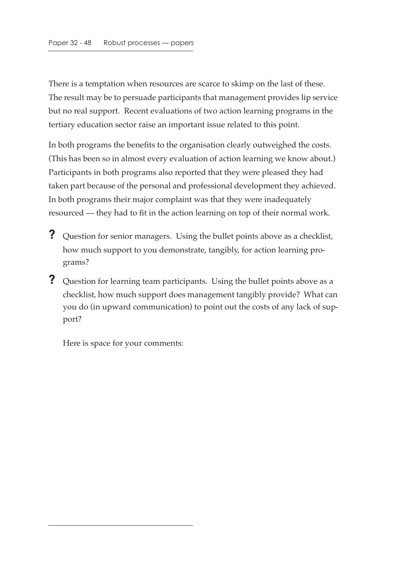There is a temptation when resources are scarce to skimp on the last of these. The result may be to persuade participants that management provides lip service but no real support. Recent evaluations of two action learning programs in the tertiary education sector raise an important issue related to this point.

In both programs the benefits to the organisation clearly outweighed the costs. (This has been so in almost every evaluation of action learning we know about.) Participants in both programs also reported that they were pleased they had taken part because of the personal and professional development they achieved. In both programs their major complaint was that they were inadequately resourced — they had to fit in the action learning on top of their normal work.

- **?** Question for senior managers. Using the bullet points above as a checklist, how much support to you demonstrate, tangibly, for action learning programs?
- **?** Question for learning team participants. Using the bullet points above as a checklist, how much support does management tangibly provide? What can you do (in upward communication) to point out the costs of any lack of support?

Here is space for your comments: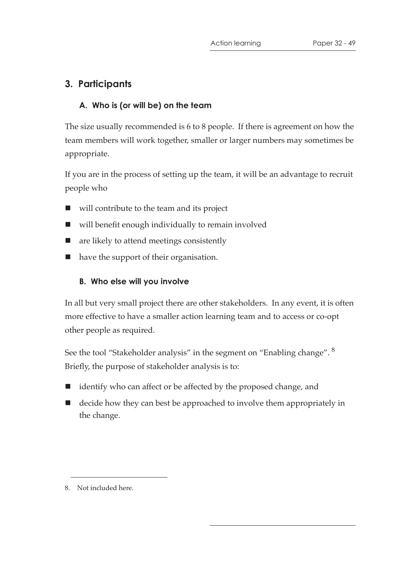### **3. Participants**

#### **A. Who is (or will be) on the team**

The size usually recommended is 6 to 8 people. If there is agreement on how the team members will work together, smaller or larger numbers may sometimes be appropriate.

If you are in the process of setting up the team, it will be an advantage to recruit people who

- will contribute to the team and its project
- will benefit enough individually to remain involved
- are likely to attend meetings consistently
- have the support of their organisation.

### **B. Who else will you involve**

In all but very small project there are other stakeholders. In any event, it is often more effective to have a smaller action learning team and to access or co-opt other people as required.

See the tool "Stakeholder analysis" in the segment on "Enabling change". <sup>8</sup> Briefly, the purpose of stakeholder analysis is to:

- identify who can affect or be affected by the proposed change, and
- decide how they can best be approached to involve them appropriately in the change.

<sup>8.</sup> Not included here.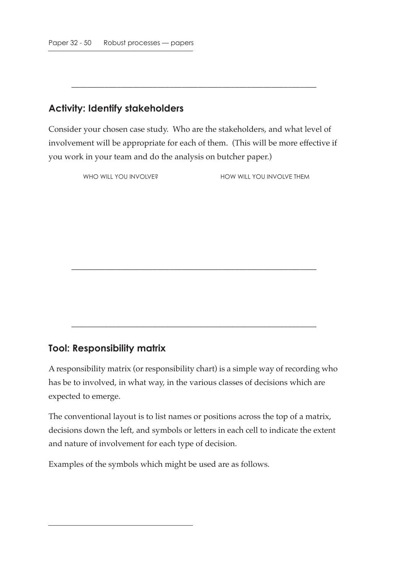### **Activity: Identify stakeholders**

Consider your chosen case study. Who are the stakeholders, and what level of involvement will be appropriate for each of them. (This will be more effective if you work in your team and do the analysis on butcher paper.)

\_\_\_\_\_\_\_\_\_\_\_\_\_\_\_\_\_\_\_\_\_\_\_\_\_\_\_\_\_\_\_\_\_\_\_\_\_\_\_\_\_\_\_\_\_\_\_\_\_\_\_\_\_\_\_\_\_\_\_\_

WHO WILL YOU INVOLVE? HOW WILL YOU INVOLVE THEM

#### **Tool: Responsibility matrix**

A responsibility matrix (or responsibility chart) is a simple way of recording who has be to involved, in what way, in the various classes of decisions which are expected to emerge.

\_\_\_\_\_\_\_\_\_\_\_\_\_\_\_\_\_\_\_\_\_\_\_\_\_\_\_\_\_\_\_\_\_\_\_\_\_\_\_\_\_\_\_\_\_\_\_\_\_\_\_\_\_\_\_\_\_\_\_\_

\_\_\_\_\_\_\_\_\_\_\_\_\_\_\_\_\_\_\_\_\_\_\_\_\_\_\_\_\_\_\_\_\_\_\_\_\_\_\_\_\_\_\_\_\_\_\_\_\_\_\_\_\_\_\_\_\_\_\_\_

The conventional layout is to list names or positions across the top of a matrix, decisions down the left, and symbols or letters in each cell to indicate the extent and nature of involvement for each type of decision.

Examples of the symbols which might be used are as follows.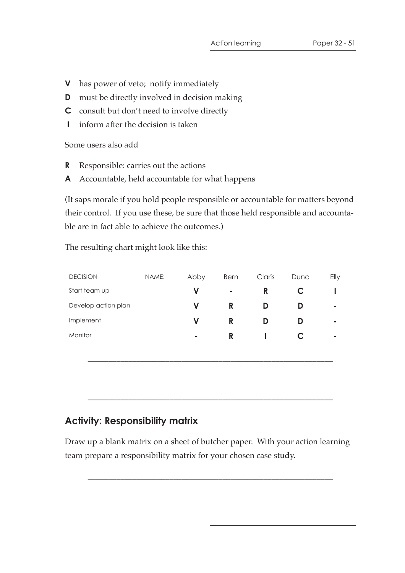- **V** has power of veto; notify immediately
- **D** must be directly involved in decision making
- **C** consult but don't need to involve directly
- **I** inform after the decision is taken

Some users also add

- **R** Responsible: carries out the actions
- **A** Accountable, held accountable for what happens

(It saps morale if you hold people responsible or accountable for matters beyond their control. If you use these, be sure that those held responsible and accountable are in fact able to achieve the outcomes.)

The resulting chart might look like this:

| <b>DECISION</b>     | NAME: | Abby | <b>Bern</b> | Claris | Dunc | Elly |
|---------------------|-------|------|-------------|--------|------|------|
| Start team up       |       | V    | ٠           | R      |      |      |
| Develop action plan |       | V    | R           | D      | D    | ۰    |
| Implement           |       | V    | R           | D      | D    | ۰    |
| <b>Monitor</b>      |       | ۰    | R           |        | C    | ۰    |
|                     |       |      |             |        |      |      |

\_\_\_\_\_\_\_\_\_\_\_\_\_\_\_\_\_\_\_\_\_\_\_\_\_\_\_\_\_\_\_\_\_\_\_\_\_\_\_\_\_\_\_\_\_\_\_\_\_\_\_\_\_\_\_\_\_\_\_\_

\_\_\_\_\_\_\_\_\_\_\_\_\_\_\_\_\_\_\_\_\_\_\_\_\_\_\_\_\_\_\_\_\_\_\_\_\_\_\_\_\_\_\_\_\_\_\_\_\_\_\_\_\_\_\_\_\_\_\_\_

### **Activity: Responsibility matrix**

Draw up a blank matrix on a sheet of butcher paper. With your action learning team prepare a responsibility matrix for your chosen case study.

\_\_\_\_\_\_\_\_\_\_\_\_\_\_\_\_\_\_\_\_\_\_\_\_\_\_\_\_\_\_\_\_\_\_\_\_\_\_\_\_\_\_\_\_\_\_\_\_\_\_\_\_\_\_\_\_\_\_\_\_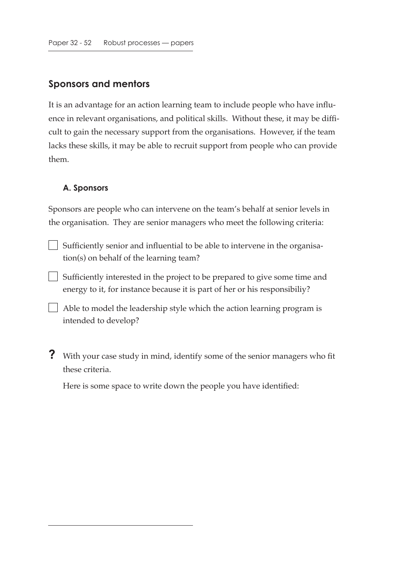#### **Sponsors and mentors**

It is an advantage for an action learning team to include people who have influence in relevant organisations, and political skills. Without these, it may be difficult to gain the necessary support from the organisations. However, if the team lacks these skills, it may be able to recruit support from people who can provide them.

#### **A. Sponsors**

Sponsors are people who can intervene on the team's behalf at senior levels in the organisation. They are senior managers who meet the following criteria:

- Sufficiently senior and influential to be able to intervene in the organisation(s) on behalf of the learning team?
- Sufficiently interested in the project to be prepared to give some time and energy to it, for instance because it is part of her or his responsibiliy?
	- Able to model the leadership style which the action learning program is intended to develop?
- **?** With your case study in mind, identify some of the senior managers who fit these criteria.

Here is some space to write down the people you have identified: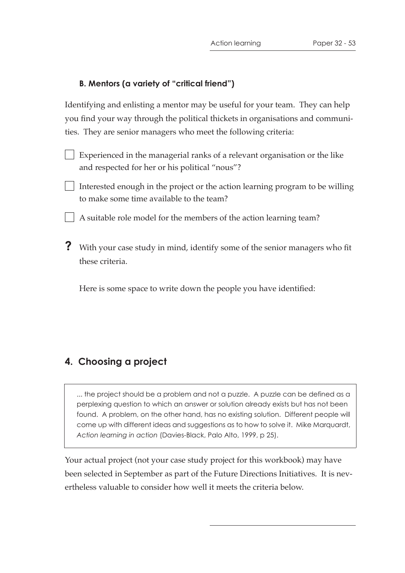#### **B. Mentors (a variety of "critical friend")**

Identifying and enlisting a mentor may be useful for your team. They can help you find your way through the political thickets in organisations and communities. They are senior managers who meet the following criteria:

 $\Box$  Experienced in the managerial ranks of a relevant organisation or the like and respected for her or his political "nous"?

 $\Box$  Interested enough in the project or the action learning program to be willing to make some time available to the team?

- A suitable role model for the members of the action learning team?
- **?** With your case study in mind, identify some of the senior managers who fit these criteria.

Here is some space to write down the people you have identified:

# **4. Choosing a project**

... the project should be a problem and not a puzzle. A puzzle can be defined as a perplexing question to which an answer or solution already exists but has not been found. A problem, on the other hand, has no existing solution. Different people will come up with different ideas and suggestions as to how to solve it. Mike Marquardt, *Action learning in action* (Davies-Black, Palo Alto, 1999, p 25).

Your actual project (not your case study project for this workbook) may have been selected in September as part of the Future Directions Initiatives. It is nevertheless valuable to consider how well it meets the criteria below.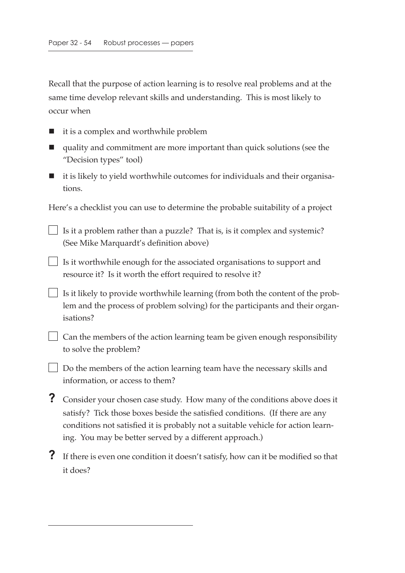Recall that the purpose of action learning is to resolve real problems and at the same time develop relevant skills and understanding. This is most likely to occur when

- it is a complex and worthwhile problem
- quality and commitment are more important than quick solutions (see the "Decision types" tool)
- it is likely to yield worthwhile outcomes for individuals and their organisations.

Here's a checklist you can use to determine the probable suitability of a project

 $\Box$  Is it a problem rather than a puzzle? That is, is it complex and systemic? (See Mike Marquardt's definition above)

 $\Box$  Is it worthwhile enough for the associated organisations to support and resource it? Is it worth the effort required to resolve it?

 $\Box$  Is it likely to provide worthwhile learning (from both the content of the problem and the process of problem solving) for the participants and their organisations?

 $\Box$  Can the members of the action learning team be given enough responsibility to solve the problem?

Do the members of the action learning team have the necessary skills and information, or access to them?

- **?** Consider your chosen case study. How many of the conditions above does it satisfy? Tick those boxes beside the satisfied conditions. (If there are any conditions not satisfied it is probably not a suitable vehicle for action learning. You may be better served by a different approach.)
- **?** If there is even one condition it doesn't satisfy, how can it be modified so that it does?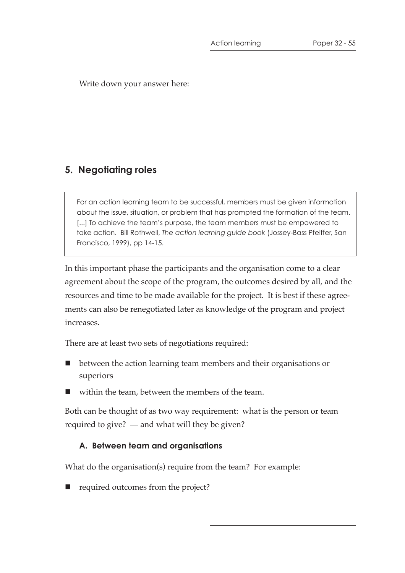Write down your answer here:

### **5. Negotiating roles**

For an action learning team to be successful, members must be given information about the issue, situation, or problem that has prompted the formation of the team. [...] To achieve the team's purpose, the team members must be empowered to take action. Bill Rothwell, *The action learning guide book* (Jossey-Bass Pfeiffer, San Francisco, 1999), pp 14-15.

In this important phase the participants and the organisation come to a clear agreement about the scope of the program, the outcomes desired by all, and the resources and time to be made available for the project. It is best if these agreements can also be renegotiated later as knowledge of the program and project increases.

There are at least two sets of negotiations required:

- between the action learning team members and their organisations or superiors
- within the team, between the members of the team.

Both can be thought of as two way requirement: what is the person or team required to give? — and what will they be given?

#### **A. Between team and organisations**

What do the organisation(s) require from the team? For example:

required outcomes from the project?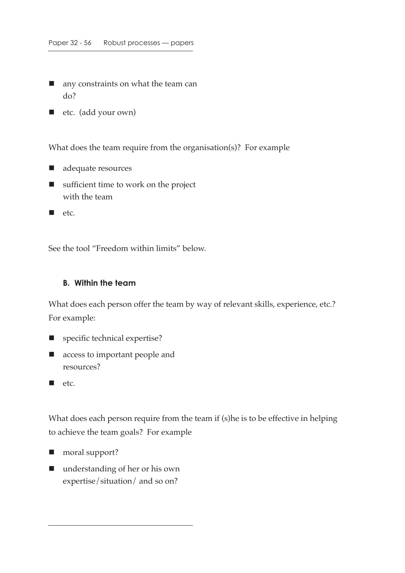- **n** any constraints on what the team can do?
- etc. (add your own)

What does the team require from the organisation(s)? For example

- adequate resources
- sufficient time to work on the project with the team
- $\blacksquare$  etc.

See the tool "Freedom within limits" below.

#### **B. Within the team**

What does each person offer the team by way of relevant skills, experience, etc.? For example:

- specific technical expertise?
- access to important people and resources?
- $\blacksquare$  etc.

What does each person require from the team if (s)he is to be effective in helping to achieve the team goals? For example

- moral support?
- understanding of her or his own expertise/situation/ and so on?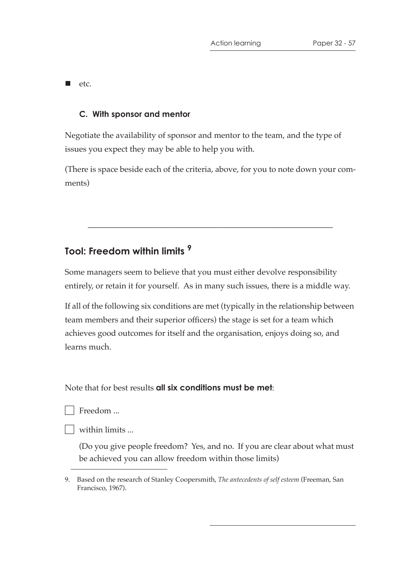$\blacksquare$  etc.

#### **C. With sponsor and mentor**

Negotiate the availability of sponsor and mentor to the team, and the type of issues you expect they may be able to help you with.

(There is space beside each of the criteria, above, for you to note down your comments)

\_\_\_\_\_\_\_\_\_\_\_\_\_\_\_\_\_\_\_\_\_\_\_\_\_\_\_\_\_\_\_\_\_\_\_\_\_\_\_\_\_\_\_\_\_\_\_\_\_\_\_\_\_\_\_\_\_\_\_\_

# **Tool: Freedom within limits 9**

Some managers seem to believe that you must either devolve responsibility entirely, or retain it for yourself. As in many such issues, there is a middle way.

If all of the following six conditions are met (typically in the relationship between team members and their superior officers) the stage is set for a team which achieves good outcomes for itself and the organisation, enjoys doing so, and learns much.

Note that for best results **all six conditions must be met**:

Freedom ...

within limits ...

(Do you give people freedom? Yes, and no. If you are clear about what must be achieved you can allow freedom within those limits)

<sup>9.</sup> Based on the research of Stanley Coopersmith, *The antecedents of self esteem* (Freeman, San Francisco, 1967).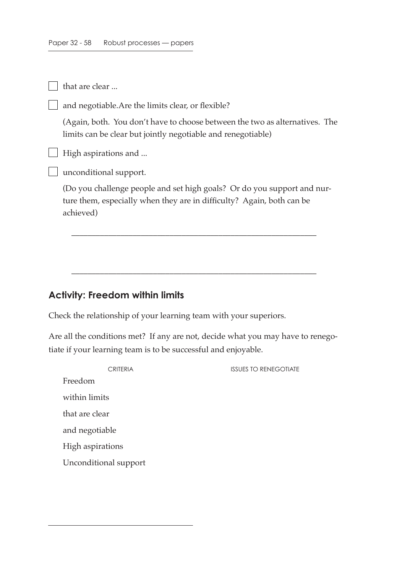that are clear ...

and negotiable.Are the limits clear, or flexible?

(Again, both. You don't have to choose between the two as alternatives. The limits can be clear but jointly negotiable and renegotiable)

High aspirations and ...

unconditional support.

(Do you challenge people and set high goals? Or do you support and nurture them, especially when they are in difficulty? Again, both can be achieved)

\_\_\_\_\_\_\_\_\_\_\_\_\_\_\_\_\_\_\_\_\_\_\_\_\_\_\_\_\_\_\_\_\_\_\_\_\_\_\_\_\_\_\_\_\_\_\_\_\_\_\_\_\_\_\_\_\_\_\_\_

\_\_\_\_\_\_\_\_\_\_\_\_\_\_\_\_\_\_\_\_\_\_\_\_\_\_\_\_\_\_\_\_\_\_\_\_\_\_\_\_\_\_\_\_\_\_\_\_\_\_\_\_\_\_\_\_\_\_\_\_

#### **Activity: Freedom within limits**

Check the relationship of your learning team with your superiors.

Are all the conditions met? If any are not, decide what you may have to renegotiate if your learning team is to be successful and enjoyable.

CRITERIA ISSUES TO RENEGOTIATE Freedom within limits that are clear and negotiable High aspirations Unconditional support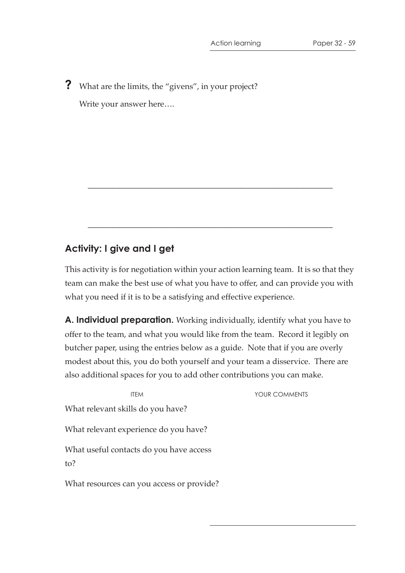**?** What are the limits, the "givens", in your project? Write your answer here….

#### **Activity: I give and I get**

This activity is for negotiation within your action learning team. It is so that they team can make the best use of what you have to offer, and can provide you with what you need if it is to be a satisfying and effective experience.

\_\_\_\_\_\_\_\_\_\_\_\_\_\_\_\_\_\_\_\_\_\_\_\_\_\_\_\_\_\_\_\_\_\_\_\_\_\_\_\_\_\_\_\_\_\_\_\_\_\_\_\_\_\_\_\_\_\_\_\_

\_\_\_\_\_\_\_\_\_\_\_\_\_\_\_\_\_\_\_\_\_\_\_\_\_\_\_\_\_\_\_\_\_\_\_\_\_\_\_\_\_\_\_\_\_\_\_\_\_\_\_\_\_\_\_\_\_\_\_\_

**A. Individual preparation.** Working individually, identify what you have to offer to the team, and what you would like from the team. Record it legibly on butcher paper, using the entries below as a guide. Note that if you are overly modest about this, you do both yourself and your team a disservice. There are also additional spaces for you to add other contributions you can make.

ITEM YOUR COMMENTS What relevant skills do you have? What relevant experience do you have? What useful contacts do you have access to? What resources can you access or provide?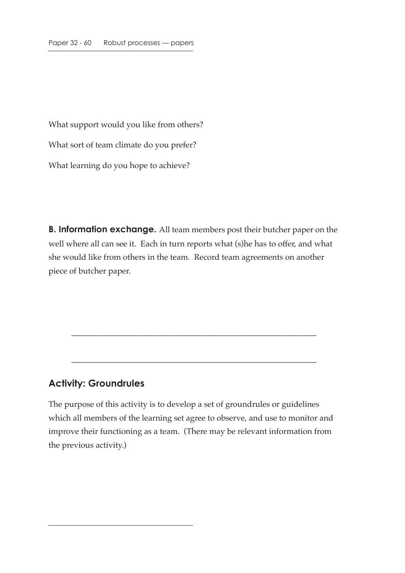What support would you like from others? What sort of team climate do you prefer? What learning do you hope to achieve?

**B. Information exchange.** All team members post their butcher paper on the well where all can see it. Each in turn reports what (s)he has to offer, and what she would like from others in the team. Record team agreements on another piece of butcher paper.

\_\_\_\_\_\_\_\_\_\_\_\_\_\_\_\_\_\_\_\_\_\_\_\_\_\_\_\_\_\_\_\_\_\_\_\_\_\_\_\_\_\_\_\_\_\_\_\_\_\_\_\_\_\_\_\_\_\_\_\_

\_\_\_\_\_\_\_\_\_\_\_\_\_\_\_\_\_\_\_\_\_\_\_\_\_\_\_\_\_\_\_\_\_\_\_\_\_\_\_\_\_\_\_\_\_\_\_\_\_\_\_\_\_\_\_\_\_\_\_\_

#### **Activity: Groundrules**

The purpose of this activity is to develop a set of groundrules or guidelines which all members of the learning set agree to observe, and use to monitor and improve their functioning as a team. (There may be relevant information from the previous activity.)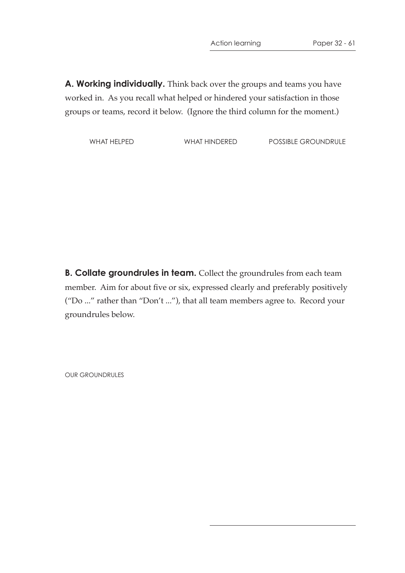**A. Working individually.** Think back over the groups and teams you have worked in. As you recall what helped or hindered your satisfaction in those groups or teams, record it below. (Ignore the third column for the moment.)

WHAT HELPED **WHAT HINDERED** POSSIBLE GROUNDRULE

**B. Collate groundrules in team.** Collect the groundrules from each team member. Aim for about five or six, expressed clearly and preferably positively ("Do ..." rather than "Don't ..."), that all team members agree to. Record your groundrules below.

OUR GROUNDRULES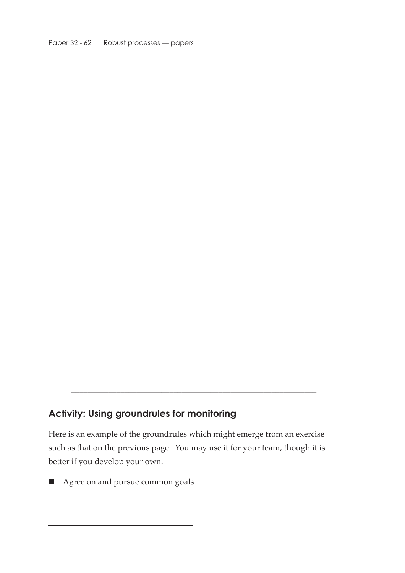### **Activity: Using groundrules for monitoring**

Here is an example of the groundrules which might emerge from an exercise such as that on the previous page. You may use it for your team, though it is better if you develop your own.

\_\_\_\_\_\_\_\_\_\_\_\_\_\_\_\_\_\_\_\_\_\_\_\_\_\_\_\_\_\_\_\_\_\_\_\_\_\_\_\_\_\_\_\_\_\_\_\_\_\_\_\_\_\_\_\_\_\_\_\_

\_\_\_\_\_\_\_\_\_\_\_\_\_\_\_\_\_\_\_\_\_\_\_\_\_\_\_\_\_\_\_\_\_\_\_\_\_\_\_\_\_\_\_\_\_\_\_\_\_\_\_\_\_\_\_\_\_\_\_\_

Agree on and pursue common goals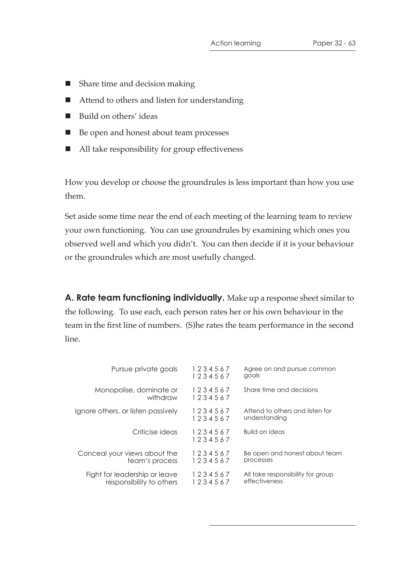- Share time and decision making
- Attend to others and listen for understanding
- Build on others' ideas
- Be open and honest about team processes
- All take responsibility for group effectiveness

How you develop or choose the groundrules is less important than how you use them.

Set aside some time near the end of each meeting of the learning team to review your own functioning. You can use groundrules by examining which ones you observed well and which you didn't. You can then decide if it is your behaviour or the groundrules which are most usefully changed.

**A. Rate team functioning individually.** Make up a response sheet similar to the following. To use each, each person rates her or his own behaviour in the team in the first line of numbers. (S)he rates the team performance in the second line.

| Pursue private goals                                      | 1234567<br>1234567 | Agree on and pursue common<br>goals                |
|-----------------------------------------------------------|--------------------|----------------------------------------------------|
| Monopolise, dominate or<br>withdraw                       | 1234567<br>1234567 | Share time and decisions                           |
| Ignore others, or listen passively                        | 1234567<br>1234567 | Attend to others and listen for<br>understanding   |
| Criticise ideas                                           | 1234567<br>1234567 | Build on ideas                                     |
| Conceal your views about the<br>team's process            | 1234567<br>1234567 | Be open and honest about team<br>processes         |
| Fight for leadership or leave<br>responsibility to others | 1234567<br>1234567 | All take responsibility for group<br>effectiveness |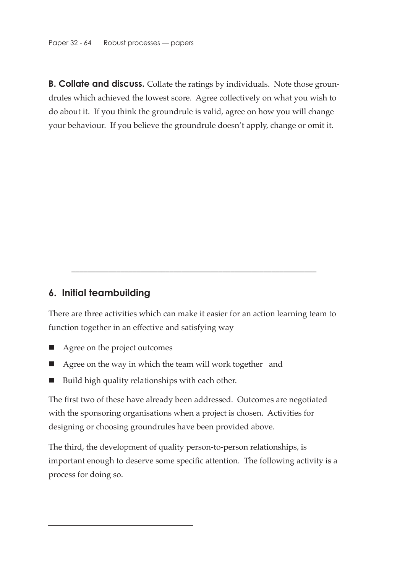**B. Collate and discuss.** Collate the ratings by individuals. Note those groundrules which achieved the lowest score. Agree collectively on what you wish to do about it. If you think the groundrule is valid, agree on how you will change your behaviour. If you believe the groundrule doesn't apply, change or omit it.

#### **6. Initial teambuilding**

There are three activities which can make it easier for an action learning team to function together in an effective and satisfying way

\_\_\_\_\_\_\_\_\_\_\_\_\_\_\_\_\_\_\_\_\_\_\_\_\_\_\_\_\_\_\_\_\_\_\_\_\_\_\_\_\_\_\_\_\_\_\_\_\_\_\_\_\_\_\_\_\_\_\_\_

- Agree on the project outcomes
- Agree on the way in which the team will work together and
- $\blacksquare$  Build high quality relationships with each other.

The first two of these have already been addressed. Outcomes are negotiated with the sponsoring organisations when a project is chosen. Activities for designing or choosing groundrules have been provided above.

The third, the development of quality person-to-person relationships, is important enough to deserve some specific attention. The following activity is a process for doing so.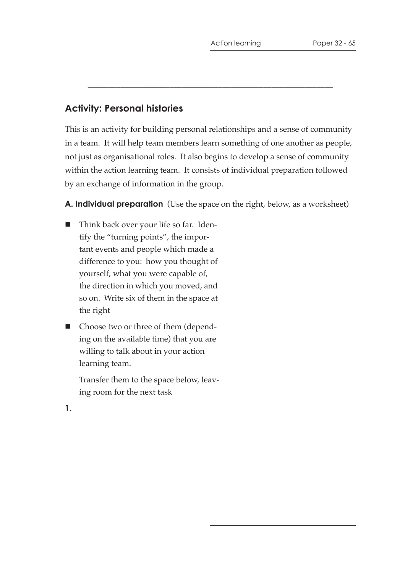### **Activity: Personal histories**

This is an activity for building personal relationships and a sense of community in a team. It will help team members learn something of one another as people, not just as organisational roles. It also begins to develop a sense of community within the action learning team. It consists of individual preparation followed by an exchange of information in the group.

\_\_\_\_\_\_\_\_\_\_\_\_\_\_\_\_\_\_\_\_\_\_\_\_\_\_\_\_\_\_\_\_\_\_\_\_\_\_\_\_\_\_\_\_\_\_\_\_\_\_\_\_\_\_\_\_\_\_\_\_

**A. Individual preparation** (Use the space on the right, below, as a worksheet)

- Think back over your life so far. Identify the "turning points", the important events and people which made a difference to you: how you thought of yourself, what you were capable of, the direction in which you moved, and so on. Write six of them in the space at the right
- Choose two or three of them (depending on the available time) that you are willing to talk about in your action learning team.

Transfer them to the space below, leaving room for the next task

**1.**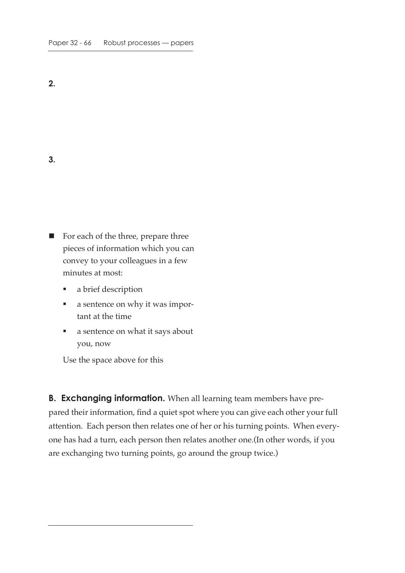**2.**

**3.**

- For each of the three, prepare three pieces of information which you can convey to your colleagues in a few minutes at most:
	- **a** brief description
	- a sentence on why it was important at the time
	- a sentence on what it says about you, now

Use the space above for this

**B. Exchanging information.** When all learning team members have prepared their information, find a quiet spot where you can give each other your full attention. Each person then relates one of her or his turning points. When everyone has had a turn, each person then relates another one.(In other words, if you are exchanging two turning points, go around the group twice.)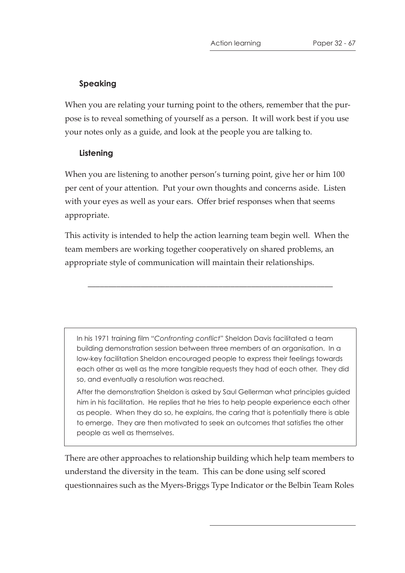### **Speaking**

When you are relating your turning point to the others, remember that the purpose is to reveal something of yourself as a person. It will work best if you use your notes only as a guide, and look at the people you are talking to.

#### **Listening**

When you are listening to another person's turning point, give her or him 100 per cent of your attention. Put your own thoughts and concerns aside. Listen with your eyes as well as your ears. Offer brief responses when that seems appropriate.

This activity is intended to help the action learning team begin well. When the team members are working together cooperatively on shared problems, an appropriate style of communication will maintain their relationships.

\_\_\_\_\_\_\_\_\_\_\_\_\_\_\_\_\_\_\_\_\_\_\_\_\_\_\_\_\_\_\_\_\_\_\_\_\_\_\_\_\_\_\_\_\_\_\_\_\_\_\_\_\_\_\_\_\_\_\_\_

In his 1971 training film "*Confronting conflict*" Sheldon Davis facilitated a team building demonstration session between three members of an organisation. In a low-key facilitation Sheldon encouraged people to express their feelings towards each other as well as the more tangible requests they had of each other. They did so, and eventually a resolution was reached.

After the demonstration Sheldon is asked by Saul Gellerman what principles guided him in his facilitation. He replies that he tries to help people experience each other as people. When they do so, he explains, the caring that is potentially there is able to emerge. They are then motivated to seek an outcomes that satisfies the other people as well as themselves.

There are other approaches to relationship building which help team members to understand the diversity in the team. This can be done using self scored questionnaires such as the Myers-Briggs Type Indicator or the Belbin Team Roles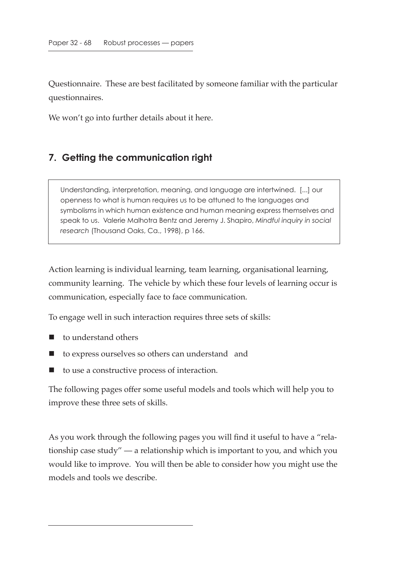Questionnaire. These are best facilitated by someone familiar with the particular questionnaires.

We won't go into further details about it here.

### **7. Getting the communication right**

Understanding, interpretation, meaning, and language are intertwined. [...] our openness to what is human requires us to be attuned to the languages and symbolisms in which human existence and human meaning express themselves and speak to us. Valerie Malhotra Bentz and Jeremy J. Shapiro, *Mindful inquiry in social research* (Thousand Oaks, Ca., 1998), p 166.

Action learning is individual learning, team learning, organisational learning, community learning. The vehicle by which these four levels of learning occur is communication, especially face to face communication.

To engage well in such interaction requires three sets of skills:

- to understand others
- to express ourselves so others can understand and
- to use a constructive process of interaction.

The following pages offer some useful models and tools which will help you to improve these three sets of skills.

As you work through the following pages you will find it useful to have a "relationship case study" — a relationship which is important to you, and which you would like to improve. You will then be able to consider how you might use the models and tools we describe.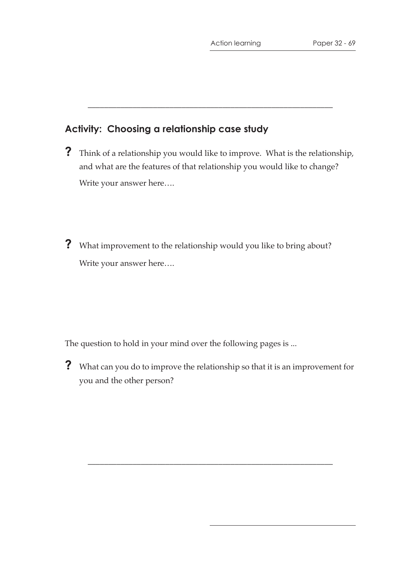# **Activity: Choosing a relationship case study**

**?** Think of a relationship you would like to improve. What is the relationship, and what are the features of that relationship you would like to change? Write your answer here….

\_\_\_\_\_\_\_\_\_\_\_\_\_\_\_\_\_\_\_\_\_\_\_\_\_\_\_\_\_\_\_\_\_\_\_\_\_\_\_\_\_\_\_\_\_\_\_\_\_\_\_\_\_\_\_\_\_\_\_\_

**?** What improvement to the relationship would you like to bring about? Write your answer here….

The question to hold in your mind over the following pages is ...

**?** What can you do to improve the relationship so that it is an improvement for you and the other person?

\_\_\_\_\_\_\_\_\_\_\_\_\_\_\_\_\_\_\_\_\_\_\_\_\_\_\_\_\_\_\_\_\_\_\_\_\_\_\_\_\_\_\_\_\_\_\_\_\_\_\_\_\_\_\_\_\_\_\_\_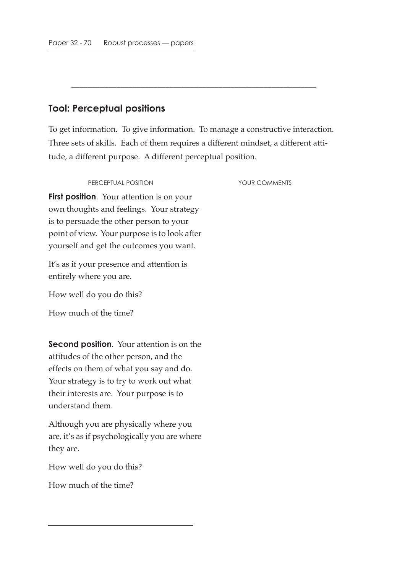### **Tool: Perceptual positions**

To get information. To give information. To manage a constructive interaction. Three sets of skills. Each of them requires a different mindset, a different attitude, a different purpose. A different perceptual position.

\_\_\_\_\_\_\_\_\_\_\_\_\_\_\_\_\_\_\_\_\_\_\_\_\_\_\_\_\_\_\_\_\_\_\_\_\_\_\_\_\_\_\_\_\_\_\_\_\_\_\_\_\_\_\_\_\_\_\_\_

PERCEPTUAL POSITION TOUR COMMENTS

**First position**. Your attention is on your own thoughts and feelings. Your strategy is to persuade the other person to your point of view. Your purpose is to look after yourself and get the outcomes you want.

It's as if your presence and attention is entirely where you are.

How well do you do this?

How much of the time?

**Second position**. Your attention is on the attitudes of the other person, and the effects on them of what you say and do. Your strategy is to try to work out what their interests are. Your purpose is to understand them.

Although you are physically where you are, it's as if psychologically you are where they are.

How well do you do this?

How much of the time?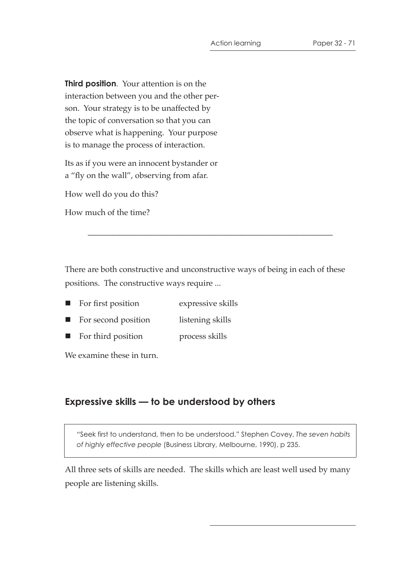**Third position.** Your attention is on the interaction between you and the other person. Your strategy is to be unaffected by the topic of conversation so that you can observe what is happening. Your purpose is to manage the process of interaction.

Its as if you were an innocent bystander or a "fly on the wall", observing from afar.

How well do you do this?

How much of the time?

There are both constructive and unconstructive ways of being in each of these positions. The constructive ways require ...

\_\_\_\_\_\_\_\_\_\_\_\_\_\_\_\_\_\_\_\_\_\_\_\_\_\_\_\_\_\_\_\_\_\_\_\_\_\_\_\_\_\_\_\_\_\_\_\_\_\_\_\_\_\_\_\_\_\_\_\_

- For first position expressive skills
- For second position listening skills
- For third position process skills

We examine these in turn.

#### **Expressive skills — to be understood by others**

"Seek first to understand, then to be understood." Stephen Covey, *The seven habits of highly effective people* (Business Library, Melbourne, 1990), p 235.

All three sets of skills are needed. The skills which are least well used by many people are listening skills.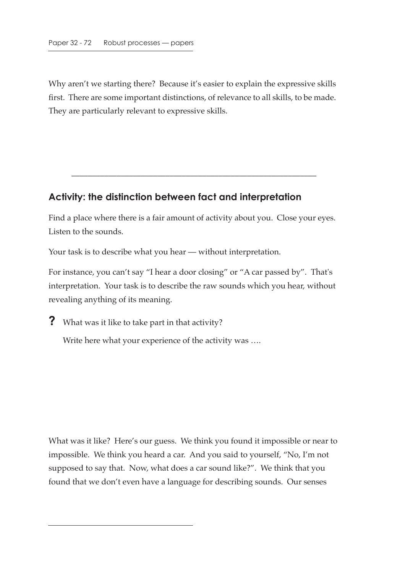Why aren't we starting there? Because it's easier to explain the expressive skills first. There are some important distinctions, of relevance to all skills, to be made. They are particularly relevant to expressive skills.

### **Activity: the distinction between fact and interpretation**

Find a place where there is a fair amount of activity about you. Close your eyes. Listen to the sounds.

\_\_\_\_\_\_\_\_\_\_\_\_\_\_\_\_\_\_\_\_\_\_\_\_\_\_\_\_\_\_\_\_\_\_\_\_\_\_\_\_\_\_\_\_\_\_\_\_\_\_\_\_\_\_\_\_\_\_\_\_

Your task is to describe what you hear — without interpretation.

For instance, you can't say "I hear a door closing" or "A car passed by". That's interpretation. Your task is to describe the raw sounds which you hear, without revealing anything of its meaning.

**?** What was it like to take part in that activity?

Write here what your experience of the activity was ....

What was it like? Here's our guess. We think you found it impossible or near to impossible. We think you heard a car. And you said to yourself, "No, I'm not supposed to say that. Now, what does a car sound like?". We think that you found that we don't even have a language for describing sounds. Our senses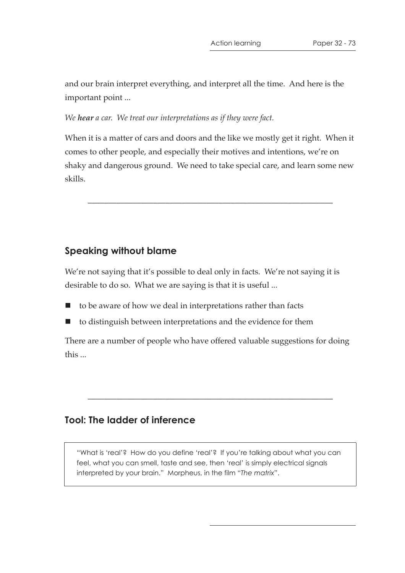and our brain interpret everything, and interpret all the time. And here is the important point ...

*We hear a car. We treat our interpretations as if they were fact.*

When it is a matter of cars and doors and the like we mostly get it right. When it comes to other people, and especially their motives and intentions, we're on shaky and dangerous ground. We need to take special care, and learn some new skills.

\_\_\_\_\_\_\_\_\_\_\_\_\_\_\_\_\_\_\_\_\_\_\_\_\_\_\_\_\_\_\_\_\_\_\_\_\_\_\_\_\_\_\_\_\_\_\_\_\_\_\_\_\_\_\_\_\_\_\_\_

# **Speaking without blame**

We're not saying that it's possible to deal only in facts. We're not saying it is desirable to do so. What we are saying is that it is useful ...

- $\blacksquare$  to be aware of how we deal in interpretations rather than facts
- $\blacksquare$  to distinguish between interpretations and the evidence for them

There are a number of people who have offered valuable suggestions for doing this ...

\_\_\_\_\_\_\_\_\_\_\_\_\_\_\_\_\_\_\_\_\_\_\_\_\_\_\_\_\_\_\_\_\_\_\_\_\_\_\_\_\_\_\_\_\_\_\_\_\_\_\_\_\_\_\_\_\_\_\_\_

# **Tool: The ladder of inference**

"What is 'real'? How do you define 'real'? If you're talking about what you can feel, what you can smell, taste and see, then 'real' is simply electrical signals interpreted by your brain." Morpheus, in the film "*The matrix*".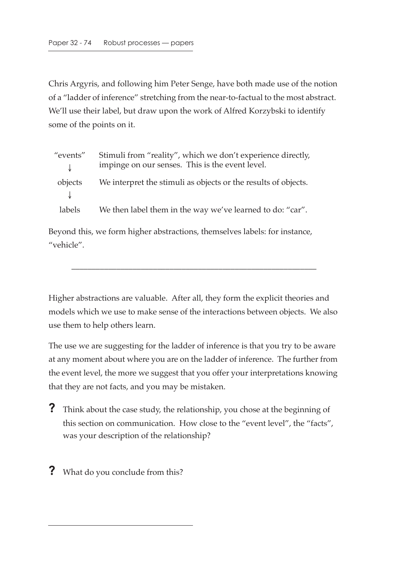Chris Argyris, and following him Peter Senge, have both made use of the notion of a "ladder of inference" stretching from the near-to-factual to the most abstract. We'll use their label, but draw upon the work of Alfred Korzybski to identify some of the points on it.

| "events"<br>$\downarrow$ | Stimuli from "reality", which we don't experience directly,<br>impinge on our senses. This is the event level. |
|--------------------------|----------------------------------------------------------------------------------------------------------------|
| objects                  | We interpret the stimuli as objects or the results of objects.                                                 |
| labels                   | We then label them in the way we've learned to do: "car".                                                      |

Beyond this, we form higher abstractions, themselves labels: for instance, "vehicle".

Higher abstractions are valuable. After all, they form the explicit theories and models which we use to make sense of the interactions between objects. We also use them to help others learn.

\_\_\_\_\_\_\_\_\_\_\_\_\_\_\_\_\_\_\_\_\_\_\_\_\_\_\_\_\_\_\_\_\_\_\_\_\_\_\_\_\_\_\_\_\_\_\_\_\_\_\_\_\_\_\_\_\_\_\_\_

The use we are suggesting for the ladder of inference is that you try to be aware at any moment about where you are on the ladder of inference. The further from the event level, the more we suggest that you offer your interpretations knowing that they are not facts, and you may be mistaken.

- **?** Think about the case study, the relationship, you chose at the beginning of this section on communication. How close to the "event level", the "facts", was your description of the relationship?
- **?** What do you conclude from this?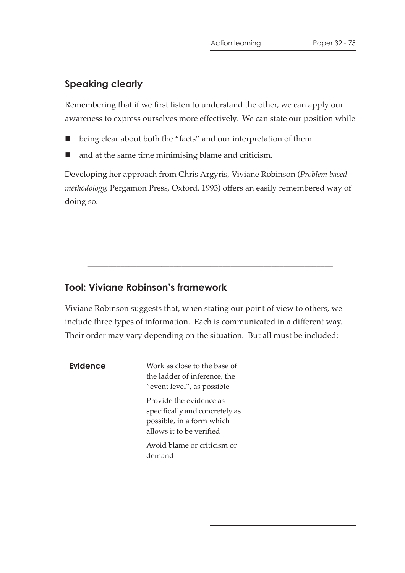## **Speaking clearly**

Remembering that if we first listen to understand the other, we can apply our awareness to express ourselves more effectively. We can state our position while

- being clear about both the "facts" and our interpretation of them
- $\blacksquare$  and at the same time minimising blame and criticism.

Developing her approach from Chris Argyris, Viviane Robinson (*Problem based methodology*, Pergamon Press, Oxford, 1993) offers an easily remembered way of doing so.

\_\_\_\_\_\_\_\_\_\_\_\_\_\_\_\_\_\_\_\_\_\_\_\_\_\_\_\_\_\_\_\_\_\_\_\_\_\_\_\_\_\_\_\_\_\_\_\_\_\_\_\_\_\_\_\_\_\_\_\_

## **Tool: Viviane Robinson's framework**

Viviane Robinson suggests that, when stating our point of view to others, we include three types of information. Each is communicated in a different way. Their order may vary depending on the situation. But all must be included:

| <b>Evidence</b> | Work as close to the base of<br>the ladder of inference, the<br>"event level", as possible                         |  |  |
|-----------------|--------------------------------------------------------------------------------------------------------------------|--|--|
|                 | Provide the evidence as<br>specifically and concretely as<br>possible, in a form which<br>allows it to be verified |  |  |
|                 | Avoid blame or criticism or<br>demand                                                                              |  |  |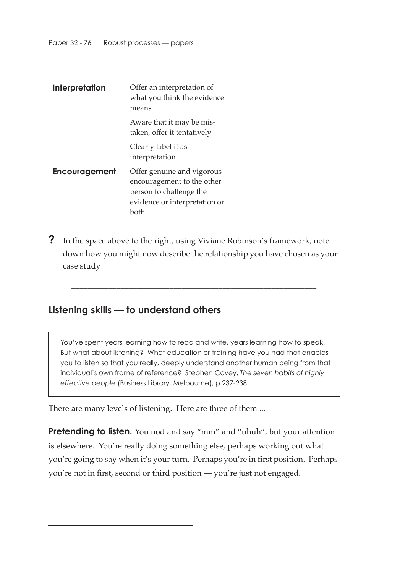| Interpretation       | Offer an interpretation of<br>what you think the evidence<br>means                                                           |  |  |
|----------------------|------------------------------------------------------------------------------------------------------------------------------|--|--|
|                      | Aware that it may be mis-<br>taken, offer it tentatively                                                                     |  |  |
|                      | Clearly label it as<br>interpretation                                                                                        |  |  |
| <b>Encouragement</b> | Offer genuine and vigorous<br>encouragement to the other<br>person to challenge the<br>evidence or interpretation or<br>hoth |  |  |

**?** In the space above to the right, using Viviane Robinson's framework, note down how you might now describe the relationship you have chosen as your case study

\_\_\_\_\_\_\_\_\_\_\_\_\_\_\_\_\_\_\_\_\_\_\_\_\_\_\_\_\_\_\_\_\_\_\_\_\_\_\_\_\_\_\_\_\_\_\_\_\_\_\_\_\_\_\_\_\_\_\_\_

### **Listening skills — to understand others**

You've spent years learning how to read and write, years learning how to speak. But what about listening? What education or training have you had that enables you to listen so that you really, deeply understand another human being from that individual's own frame of reference? Stephen Covey, *The seven habits of highly effective people* (Business Library, Melbourne), p 237-238.

There are many levels of listening. Here are three of them ...

**Pretending to listen.** You nod and say "mm" and "uhuh", but your attention is elsewhere. You're really doing something else, perhaps working out what you're going to say when it's your turn. Perhaps you're in first position. Perhaps you're not in first, second or third position — you're just not engaged.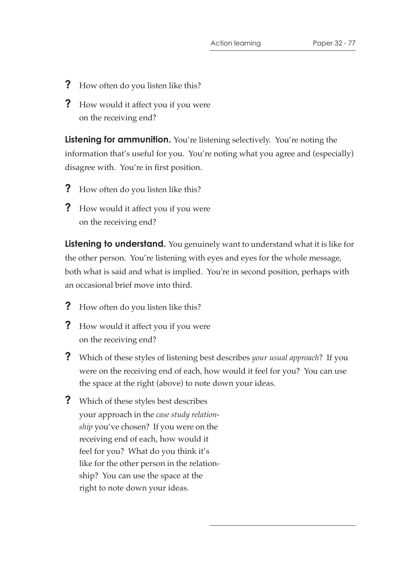- **?** How often do you listen like this?
- **?** How would it affect you if you were on the receiving end?

**Listening for ammunition.** You're listening selectively. You're noting the information that's useful for you. You're noting what you agree and (especially) disagree with. You're in first position.

- **?** How often do you listen like this?
- **?** How would it affect you if you were on the receiving end?

**Listening to understand.** You genuinely want to understand what it is like for the other person. You're listening with eyes and eyes for the whole message, both what is said and what is implied. You're in second position, perhaps with an occasional brief move into third.

- **?** How often do you listen like this?
- **?** How would it affect you if you were on the receiving end?
- **?** Which of these styles of listening best describes *your usual approach*? If you were on the receiving end of each, how would it feel for you? You can use the space at the right (above) to note down your ideas.
- **?** Which of these styles best describes your approach in the *case study relationship* you've chosen? If you were on the receiving end of each, how would it feel for you? What do you think it's like for the other person in the relationship? You can use the space at the right to note down your ideas.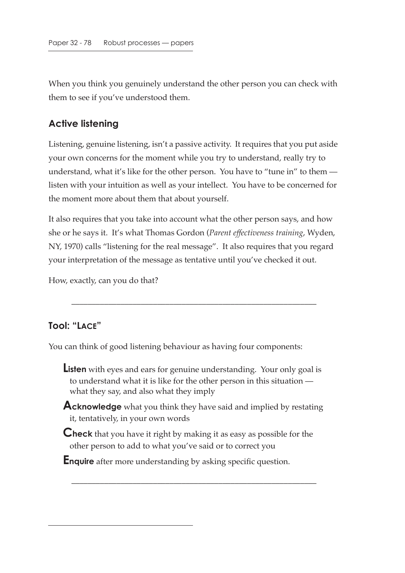When you think you genuinely understand the other person you can check with them to see if you've understood them.

### **Active listening**

Listening, genuine listening, isn't a passive activity. It requires that you put aside your own concerns for the moment while you try to understand, really try to understand, what it's like for the other person. You have to "tune in" to them listen with your intuition as well as your intellect. You have to be concerned for the moment more about them that about yourself.

It also requires that you take into account what the other person says, and how she or he says it. It's what Thomas Gordon (*Parent effectiveness training*, Wyden, NY, 1970) calls "listening for the real message". It also requires that you regard your interpretation of the message as tentative until you've checked it out.

\_\_\_\_\_\_\_\_\_\_\_\_\_\_\_\_\_\_\_\_\_\_\_\_\_\_\_\_\_\_\_\_\_\_\_\_\_\_\_\_\_\_\_\_\_\_\_\_\_\_\_\_\_\_\_\_\_\_\_\_

How, exactly, can you do that?

#### **Tool: "LACE"**

You can think of good listening behaviour as having four components:

**Listen** with eyes and ears for genuine understanding. Your only goal is to understand what it is like for the other person in this situation what they say, and also what they imply

**Acknowledge** what you think they have said and implied by restating it, tentatively, in your own words

**Check** that you have it right by making it as easy as possible for the other person to add to what you've said or to correct you

\_\_\_\_\_\_\_\_\_\_\_\_\_\_\_\_\_\_\_\_\_\_\_\_\_\_\_\_\_\_\_\_\_\_\_\_\_\_\_\_\_\_\_\_\_\_\_\_\_\_\_\_\_\_\_\_\_\_\_\_

**Enquire** after more understanding by asking specific question.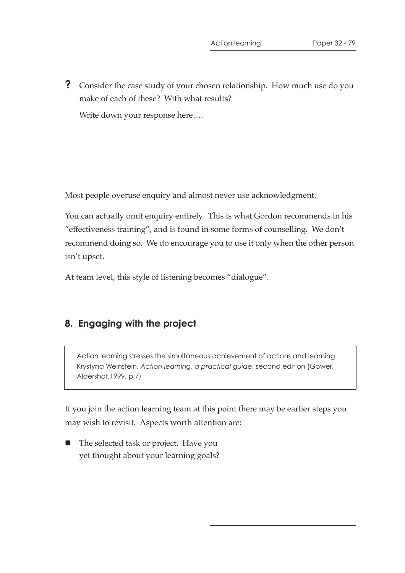**?** Consider the case study of your chosen relationship. How much use do you make of each of these? With what results?

Write down your response here….

Most people overuse enquiry and almost never use acknowledgment.

You can actually omit enquiry entirely. This is what Gordon recommends in his "effectiveness training", and is found in some forms of counselling. We don't recommend doing so. We do encourage you to use it only when the other person isn't upset.

At team level, this style of listening becomes "dialogue".

### **8. Engaging with the project**

Action learning stresses the simultaneous achievement of actions and learning. Krystyna Weinstein, *Action learning, a practical guide*, second edition (Gower, Aldershot,1999, p 7)

If you join the action learning team at this point there may be earlier steps you may wish to revisit. Aspects worth attention are:

■ The selected task or project. Have you yet thought about your learning goals?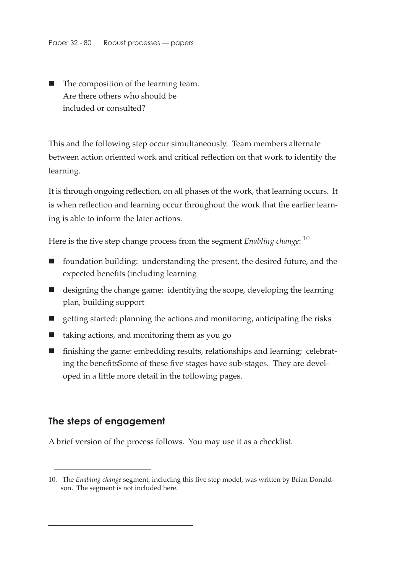The composition of the learning team. Are there others who should be included or consulted?

This and the following step occur simultaneously. Team members alternate between action oriented work and critical reflection on that work to identify the learning.

It is through ongoing reflection, on all phases of the work, that learning occurs. It is when reflection and learning occur throughout the work that the earlier learning is able to inform the later actions.

Here is the five step change process from the segment *Enabling change*: <sup>10</sup>

- foundation building: understanding the present, the desired future, and the expected benefits (including learning
- designing the change game: identifying the scope, developing the learning plan, building support
- getting started: planning the actions and monitoring, anticipating the risks
- $\blacksquare$  taking actions, and monitoring them as you go
- finishing the game: embedding results, relationships and learning; celebrating the benefitsSome of these five stages have sub-stages. They are developed in a little more detail in the following pages.

### **The steps of engagement**

A brief version of the process follows. You may use it as a checklist.

<sup>10.</sup> The *Enabling change* segment, including this five step model, was written by Brian Donaldson. The segment is not included here.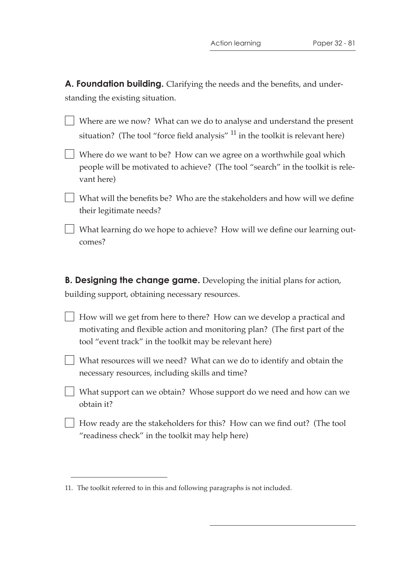**A. Foundation building.** Clarifying the needs and the benefits, and understanding the existing situation.

| $\Box$ Where are we now? What can we do to analyse and understand the present     |  |  |  |
|-----------------------------------------------------------------------------------|--|--|--|
| situation? (The tool "force field analysis" $11$ in the toolkit is relevant here) |  |  |  |

- $\Box$  Where do we want to be? How can we agree on a worthwhile goal which people will be motivated to achieve? (The tool "search" in the toolkit is relevant here)
- What will the benefits be? Who are the stakeholders and how will we define their legitimate needs?
- What learning do we hope to achieve? How will we define our learning outcomes?

**B. Designing the change game.** Developing the initial plans for action, building support, obtaining necessary resources.

- How will we get from here to there? How can we develop a practical and motivating and flexible action and monitoring plan? (The first part of the tool "event track" in the toolkit may be relevant here)
- What resources will we need? What can we do to identify and obtain the necessary resources, including skills and time?
- What support can we obtain? Whose support do we need and how can we obtain it?
- $\Box$  How ready are the stakeholders for this? How can we find out? (The tool "readiness check" in the toolkit may help here)

<sup>11.</sup> The toolkit referred to in this and following paragraphs is not included.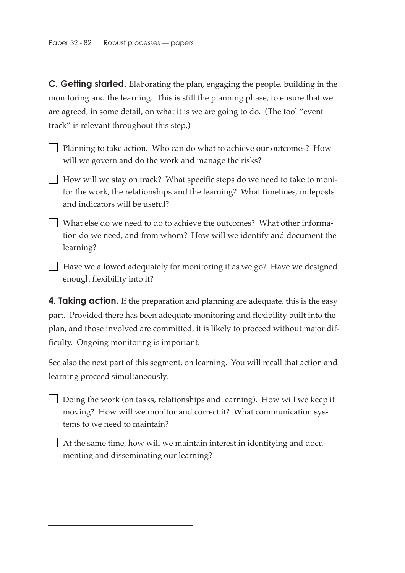**C. Getting started.** Elaborating the plan, engaging the people, building in the monitoring and the learning. This is still the planning phase, to ensure that we are agreed, in some detail, on what it is we are going to do. (The tool "event track" is relevant throughout this step.)

Planning to take action. Who can do what to achieve our outcomes? How will we govern and do the work and manage the risks?

 $\Box$  How will we stay on track? What specific steps do we need to take to monitor the work, the relationships and the learning? What timelines, mileposts and indicators will be useful?

What else do we need to do to achieve the outcomes? What other information do we need, and from whom? How will we identify and document the learning?

 $\Box$  Have we allowed adequately for monitoring it as we go? Have we designed enough flexibility into it?

**4. Taking action.** If the preparation and planning are adequate, this is the easy part. Provided there has been adequate monitoring and flexibility built into the plan, and those involved are committed, it is likely to proceed without major difficulty. Ongoing monitoring is important.

See also the next part of this segment, on learning. You will recall that action and learning proceed simultaneously.

Doing the work (on tasks, relationships and learning). How will we keep it moving? How will we monitor and correct it? What communication systems to we need to maintain?

 $\Box$  At the same time, how will we maintain interest in identifying and documenting and disseminating our learning?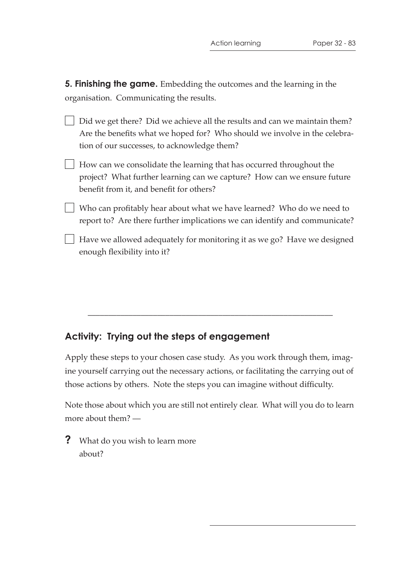**5. Finishing the game.** Embedding the outcomes and the learning in the organisation. Communicating the results.

Did we get there? Did we achieve all the results and can we maintain them? Are the benefits what we hoped for? Who should we involve in the celebration of our successes, to acknowledge them?

- $\Box$  How can we consolidate the learning that has occurred throughout the project? What further learning can we capture? How can we ensure future benefit from it, and benefit for others?
- Who can profitably hear about what we have learned? Who do we need to report to? Are there further implications we can identify and communicate?
- $\Box$  Have we allowed adequately for monitoring it as we go? Have we designed enough flexibility into it?

### **Activity: Trying out the steps of engagement**

Apply these steps to your chosen case study. As you work through them, imagine yourself carrying out the necessary actions, or facilitating the carrying out of those actions by others. Note the steps you can imagine without difficulty.

\_\_\_\_\_\_\_\_\_\_\_\_\_\_\_\_\_\_\_\_\_\_\_\_\_\_\_\_\_\_\_\_\_\_\_\_\_\_\_\_\_\_\_\_\_\_\_\_\_\_\_\_\_\_\_\_\_\_\_\_

Note those about which you are still not entirely clear. What will you do to learn more about them? —

**?** What do you wish to learn more about?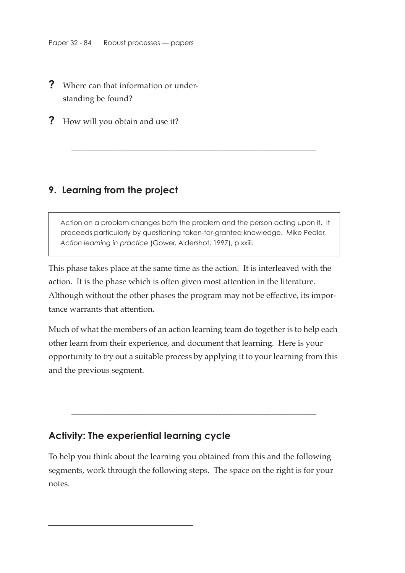- **?** Where can that information or understanding be found?
- **?** How will you obtain and use it?

#### **9. Learning from the project**

Action on a problem changes both the problem and the person acting upon it. It proceeds particularly by questioning taken-for-granted knowledge. Mike Pedler, *Action learning in practice* (Gower, Aldershot, 1997), p xxiii.

\_\_\_\_\_\_\_\_\_\_\_\_\_\_\_\_\_\_\_\_\_\_\_\_\_\_\_\_\_\_\_\_\_\_\_\_\_\_\_\_\_\_\_\_\_\_\_\_\_\_\_\_\_\_\_\_\_\_\_\_

This phase takes place at the same time as the action. It is interleaved with the action. It is the phase which is often given most attention in the literature. Although without the other phases the program may not be effective, its importance warrants that attention.

Much of what the members of an action learning team do together is to help each other learn from their experience, and document that learning. Here is your opportunity to try out a suitable process by applying it to your learning from this and the previous segment.

\_\_\_\_\_\_\_\_\_\_\_\_\_\_\_\_\_\_\_\_\_\_\_\_\_\_\_\_\_\_\_\_\_\_\_\_\_\_\_\_\_\_\_\_\_\_\_\_\_\_\_\_\_\_\_\_\_\_\_\_

### **Activity: The experiential learning cycle**

To help you think about the learning you obtained from this and the following segments, work through the following steps. The space on the right is for your notes.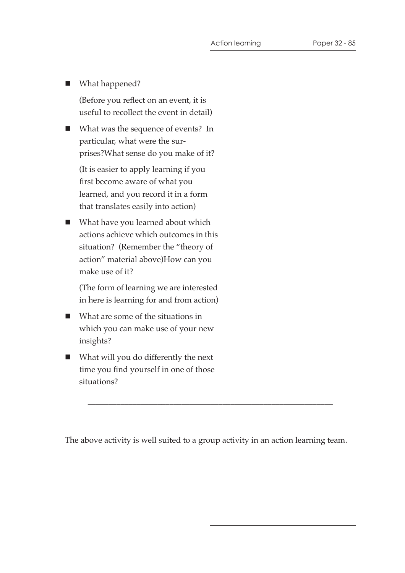■ What happened?

(Before you reflect on an event, it is useful to recollect the event in detail)

■ What was the sequence of events? In particular, what were the surprises?What sense do you make of it?

(It is easier to apply learning if you first become aware of what you learned, and you record it in a form that translates easily into action)

■ What have you learned about which actions achieve which outcomes in this situation? (Remember the "theory of action" material above)How can you make use of it?

(The form of learning we are interested in here is learning for and from action)

- What are some of the situations in which you can make use of your new insights?
- What will you do differently the next time you find yourself in one of those situations?

The above activity is well suited to a group activity in an action learning team.

\_\_\_\_\_\_\_\_\_\_\_\_\_\_\_\_\_\_\_\_\_\_\_\_\_\_\_\_\_\_\_\_\_\_\_\_\_\_\_\_\_\_\_\_\_\_\_\_\_\_\_\_\_\_\_\_\_\_\_\_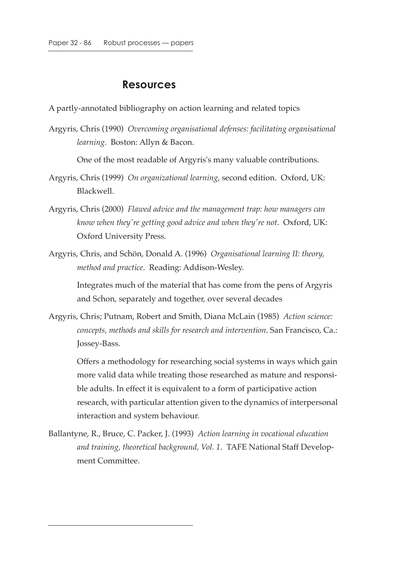### **Resources**

A partly-annotated bibliography on action learning and related topics

Argyris, Chris (1990) *Overcoming organisational defenses: facilitating organisational learning*. Boston: Allyn & Bacon.

One of the most readable of Argyris's many valuable contributions.

- Argyris, Chris (1999) *On organizational learning*, second edition. Oxford, UK: Blackwell.
- Argyris, Chris (2000) *Flawed advice and the management trap: how managers can know when they're getting good advice and when they're not*. Oxford, UK: Oxford University Press.
- Argyris, Chris, and Schön, Donald A. (1996) *Organisational learning II: theory, method and practice*. Reading: Addison-Wesley.

Integrates much of the material that has come from the pens of Argyris and Schon, separately and together, over several decades

Argyris, Chris; Putnam, Robert and Smith, Diana McLain (1985) *Action science: concepts, methods and skills for research and intervention*. San Francisco, Ca.: Jossey-Bass.

Offers a methodology for researching social systems in ways which gain more valid data while treating those researched as mature and responsible adults. In effect it is equivalent to a form of participative action research, with particular attention given to the dynamics of interpersonal interaction and system behaviour.

Ballantyne, R., Bruce, C. Packer, J. (1993) *Action learning in vocational education and training, theoretical background, Vol. 1*. TAFE National Staff Development Committee.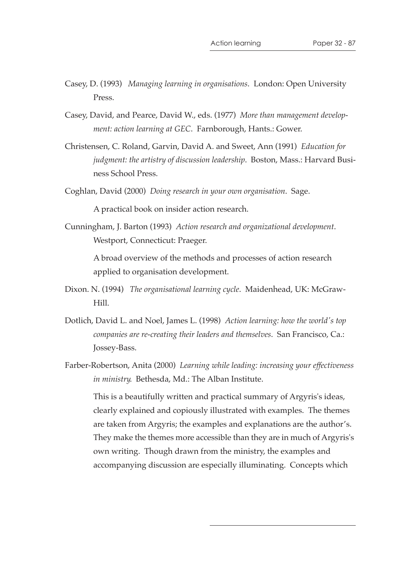- Casey, D. (1993) *Managing learning in organisations*. London: Open University Press.
- Casey, David, and Pearce, David W., eds. (1977) *More than management development: action learning at GEC*. Farnborough, Hants.: Gower.
- Christensen, C. Roland, Garvin, David A. and Sweet, Ann (1991) *Education for judgment: the artistry of discussion leadership*. Boston, Mass.: Harvard Business School Press.
- Coghlan, David (2000) *Doing research in your own organisation*. Sage.

A practical book on insider action research.

Cunningham, J. Barton (1993) *Action research and organizational development*. Westport, Connecticut: Praeger.

> A broad overview of the methods and processes of action research applied to organisation development.

- Dixon. N. (1994) *The organisational learning cycle*. Maidenhead, UK: McGraw-Hill.
- Dotlich, David L. and Noel, James L. (1998) *Action learning: how the world's top companies are re-creating their leaders and themselves*. San Francisco, Ca.: Jossey-Bass.
- Farber-Robertson, Anita (2000) *Learning while leading: increasing your effectiveness in ministry*. Bethesda, Md.: The Alban Institute.

This is a beautifully written and practical summary of Argyris's ideas, clearly explained and copiously illustrated with examples. The themes are taken from Argyris; the examples and explanations are the author's. They make the themes more accessible than they are in much of Argyris's own writing. Though drawn from the ministry, the examples and accompanying discussion are especially illuminating. Concepts which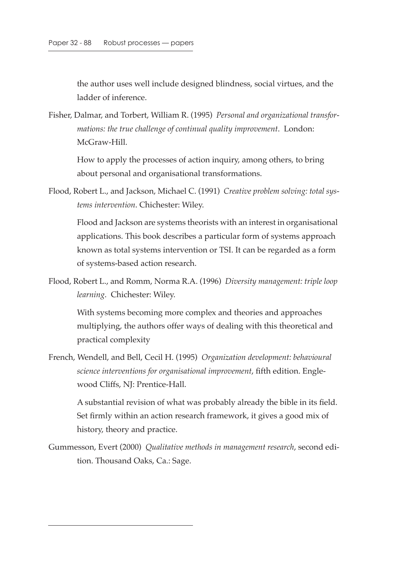the author uses well include designed blindness, social virtues, and the ladder of inference.

Fisher, Dalmar, and Torbert, William R. (1995) *Personal and organizational transformations: the true challenge of continual quality improvement*. London: McGraw-Hill.

How to apply the processes of action inquiry, among others, to bring about personal and organisational transformations.

Flood, Robert L., and Jackson, Michael C. (1991) *Creative problem solving: total systems intervention*. Chichester: Wiley.

Flood and Jackson are systems theorists with an interest in organisational applications. This book describes a particular form of systems approach known as total systems intervention or TSI. It can be regarded as a form of systems-based action research.

Flood, Robert L., and Romm, Norma R.A. (1996) *Diversity management: triple loop learning*. Chichester: Wiley.

With systems becoming more complex and theories and approaches multiplying, the authors offer ways of dealing with this theoretical and practical complexity

French, Wendell, and Bell, Cecil H. (1995) *Organization development: behavioural science interventions for organisational improvement*, fifth edition. Englewood Cliffs, NJ: Prentice-Hall.

A substantial revision of what was probably already the bible in its field. Set firmly within an action research framework, it gives a good mix of history, theory and practice.

Gummesson, Evert (2000) *Qualitative methods in management research*, second edition. Thousand Oaks, Ca.: Sage.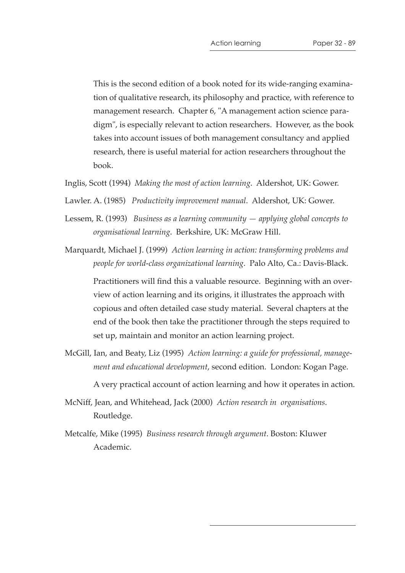This is the second edition of a book noted for its wide-ranging examination of qualitative research, its philosophy and practice, with reference to management research. Chapter 6, "A management action science paradigm", is especially relevant to action researchers. However, as the book takes into account issues of both management consultancy and applied research, there is useful material for action researchers throughout the book.

- Inglis, Scott (1994) *Making the most of action learning*. Aldershot, UK: Gower.
- Lawler. A. (1985) *Productivity improvement manual*. Aldershot, UK: Gower.
- Lessem, R. (1993) *Business as a learning community applying global concepts to organisational learning*. Berkshire, UK: McGraw Hill.
- Marquardt, Michael J. (1999) *Action learning in action: transforming problems and people for world-class organizational learning*. Palo Alto, Ca.: Davis-Black.

Practitioners will find this a valuable resource. Beginning with an overview of action learning and its origins, it illustrates the approach with copious and often detailed case study material. Several chapters at the end of the book then take the practitioner through the steps required to set up, maintain and monitor an action learning project.

- McGill, Ian, and Beaty, Liz (1995) *Action learning: a guide for professional, management and educational development*, second edition. London: Kogan Page.
	- A very practical account of action learning and how it operates in action.
- McNiff, Jean, and Whitehead, Jack (2000) *Action research in organisations*. Routledge.
- Metcalfe, Mike (1995) *Business research through argument*. Boston: Kluwer Academic.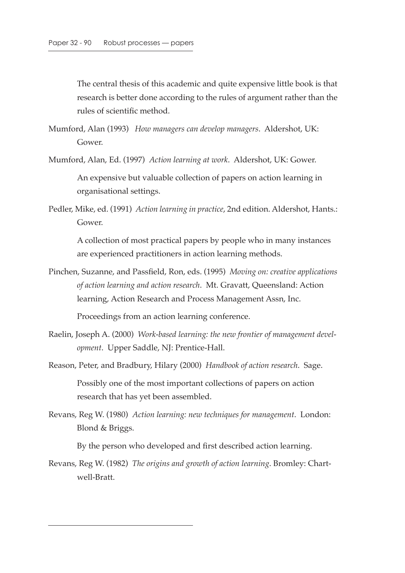The central thesis of this academic and quite expensive little book is that research is better done according to the rules of argument rather than the rules of scientific method.

- Mumford, Alan (1993) *How managers can develop managers*. Aldershot, UK: Gower.
- Mumford, Alan, Ed. (1997) *Action learning at work*. Aldershot, UK: Gower. An expensive but valuable collection of papers on action learning in organisational settings.
- Pedler, Mike, ed. (1991) *Action learning in practice*, 2nd edition. Aldershot, Hants.: Gower.

A collection of most practical papers by people who in many instances are experienced practitioners in action learning methods.

Pinchen, Suzanne, and Passfield, Ron, eds. (1995) *Moving on: creative applications of action learning and action research*. Mt. Gravatt, Queensland: Action learning, Action Research and Process Management Assn, Inc.

Proceedings from an action learning conference.

- Raelin, Joseph A. (2000) *Work-based learning: the new frontier of management development*. Upper Saddle, NJ: Prentice-Hall.
- Reason, Peter, and Bradbury, Hilary (2000) *Handbook of action research*. Sage. Possibly one of the most important collections of papers on action research that has yet been assembled.
- Revans, Reg W. (1980) *Action learning: new techniques for management*. London: Blond & Briggs.

By the person who developed and first described action learning.

Revans, Reg W. (1982) *The origins and growth of action learning*. Bromley: Chartwell-Bratt.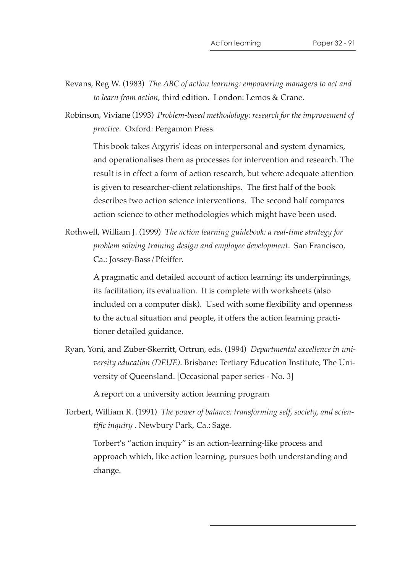- Revans, Reg W. (1983) *The ABC of action learning: empowering managers to act and to learn from action*, third edition. London: Lemos & Crane.
- Robinson, Viviane (1993) *Problem-based methodology: research for the improvement of practice*. Oxford: Pergamon Press.

This book takes Argyris' ideas on interpersonal and system dynamics, and operationalises them as processes for intervention and research. The result is in effect a form of action research, but where adequate attention is given to researcher-client relationships. The first half of the book describes two action science interventions. The second half compares action science to other methodologies which might have been used.

Rothwell, William J. (1999) *The action learning guidebook: a real-time strategy for problem solving training design and employee development*. San Francisco, Ca.: Jossey-Bass/Pfeiffer.

A pragmatic and detailed account of action learning: its underpinnings, its facilitation, its evaluation. It is complete with worksheets (also included on a computer disk). Used with some flexibility and openness to the actual situation and people, it offers the action learning practitioner detailed guidance.

Ryan, Yoni, and Zuber-Skerritt, Ortrun, eds. (1994) *Departmental excellence in university education (DEUE)*. Brisbane: Tertiary Education Institute, The University of Queensland. [Occasional paper series - No. 3]

A report on a university action learning program

Torbert, William R. (1991) *The power of balance: transforming self, society, and scientific inquiry* . Newbury Park, Ca.: Sage.

Torbert's "action inquiry" is an action-learning-like process and approach which, like action learning, pursues both understanding and change.